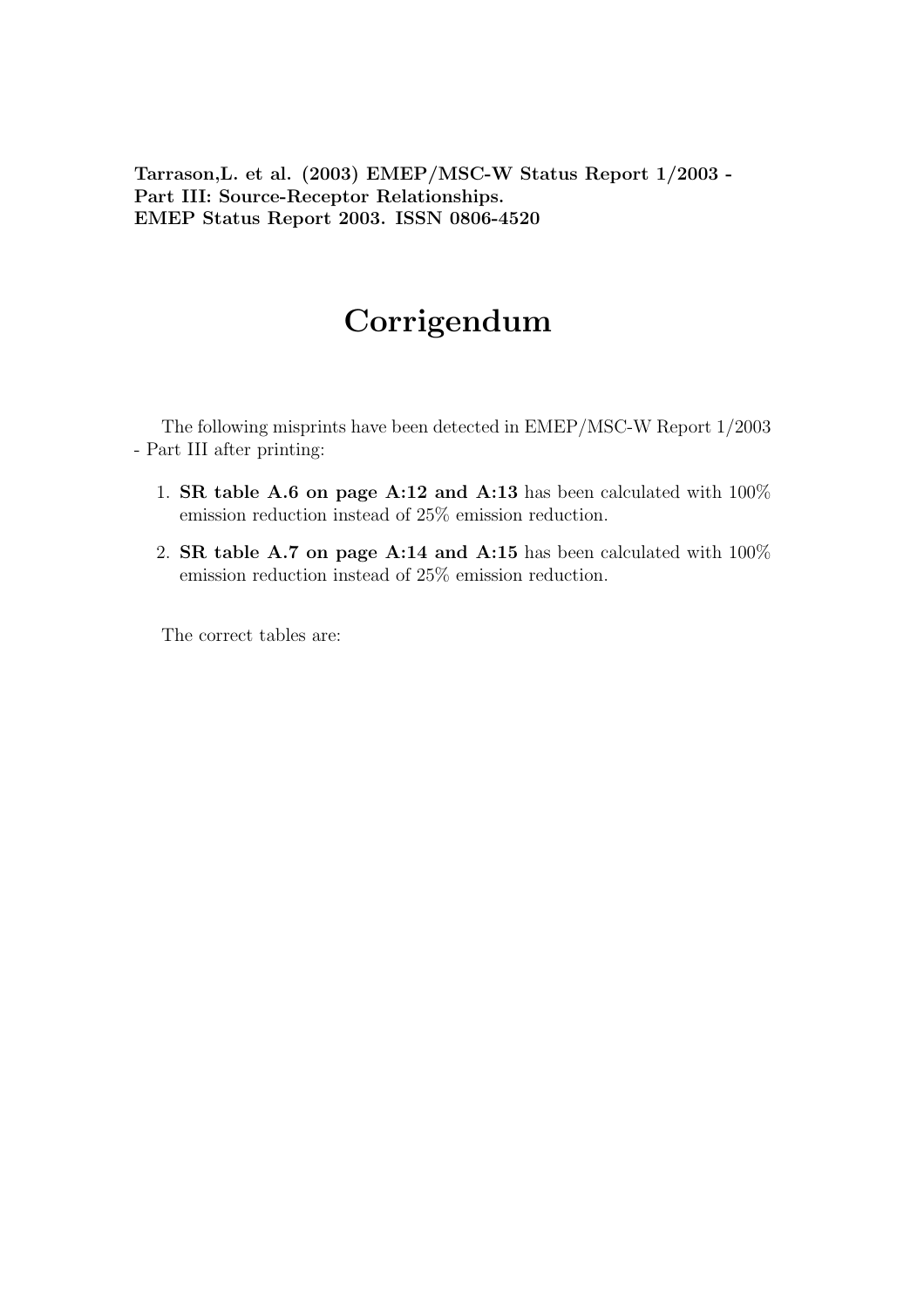Tarrason,L. et al. (2003) EMEP/MSC-W Status Report 1/2003 - Part III: Source-Receptor Relationships. EMEP Status Report 2003. ISSN 0806-4520

## Corrigendum

The following misprints have been detected in EMEP/MSC-W Report 1/2003 - Part III after printing:

- 1. SR table A.6 on page A:12 and A:13 has been calculated with 100% emission reduction instead of 25% emission reduction.
- 2. SR table A.7 on page A:14 and A:15 has been calculated with  $100\%$ emission reduction instead of 25% emission reduction.

The correct tables are: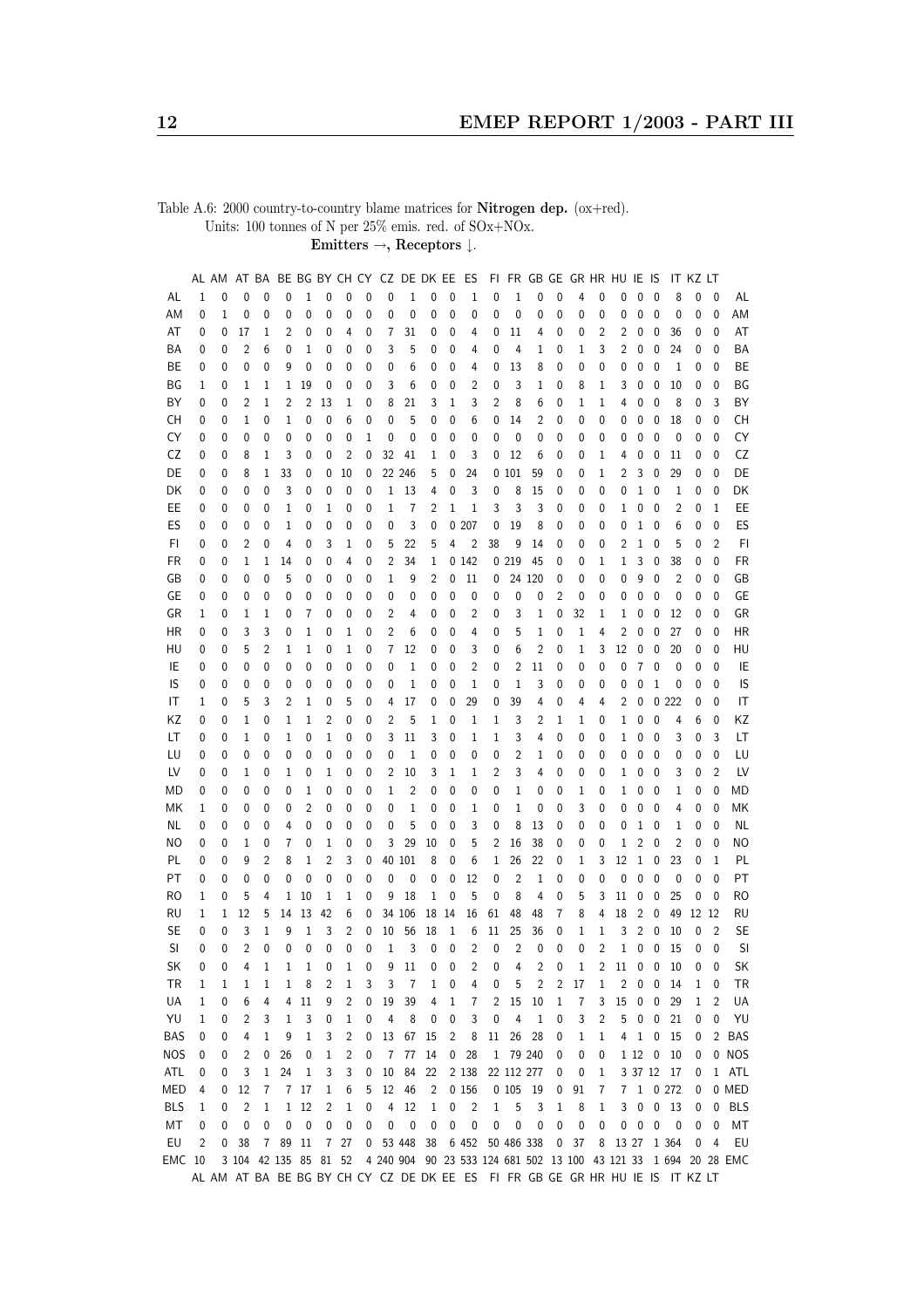Table A.6: 2000 country-to-country blame matrices for Nitrogen dep. (ox+red). Units:  $100$  tonnes of  $N$  per  $25\%$  emis. red. of  $\mathrm{SOx{+}NOx}.$ 

Emitters  $\rightarrow$ , Receptors  $\downarrow$ .

|            |   | AL AM |                | AT BA          |                       |             |                |                |             | BE BG BY CH CY CZ DE DK EE |           |    |              | ES                      |              |                |                         |              | FIFR GB GE GRHRHUIE |   |       |        | lS                      |                                                                               | it kz lt    |                |                                                                  |
|------------|---|-------|----------------|----------------|-----------------------|-------------|----------------|----------------|-------------|----------------------------|-----------|----|--------------|-------------------------|--------------|----------------|-------------------------|--------------|---------------------|---|-------|--------|-------------------------|-------------------------------------------------------------------------------|-------------|----------------|------------------------------------------------------------------|
| AL         | 1 | 0     | 0              | 0              | 0                     | 1           | 0              | 0              | 0           | 0                          | 1         | 0  | 0            | 1                       | 0            | 1              | 0                       | 0            | 4                   | 0 | 0     | 0      | 0                       | 8                                                                             | 0           | 0              | AL                                                               |
| ΑM         | 0 | 1     | 0              | 0              | 0                     | 0           | 0              | 0              | 0           | 0                          | 0         | 0  | 0            | 0                       | 0            | 0              | 0                       | 0            | 0                   | 0 | 0     | 0      | 0                       | 0                                                                             | 0           | 0              | AM                                                               |
| AT         | 0 | 0     | 17             | 1              | 2                     | 0           | 0              | 4              | 0           | 7                          | 31        | 0  | 0            | 4                       | 0            | 11             | 4                       | 0            | 0                   | 2 | 2     | 0      | 0                       | 36                                                                            | 0           | 0              | AT                                                               |
| ΒA         | 0 | 0     | $\overline{2}$ | 6              | 0                     | 1           | 0              | 0              | 0           | 3                          | 5         | 0  | 0            | 4                       | 0            | 4              | 1                       | 0            | 1                   | 3 | 2     | 0      | 0                       | 24                                                                            | 0           | 0              | ΒA                                                               |
| BE         | 0 | 0     | 0              | 0              | 9                     | 0           | 0              | 0              | 0           | 0                          | 6         | 0  | 0            | 4                       | 0            | 13             | 8                       | 0            | 0                   | 0 | 0     | 0      | 0                       | 1                                                                             | 0           | 0              | BE                                                               |
| ΒG         | 1 | 0     | 1              | 1              | 1                     | 19          | 0              | 0              | 0           | 3                          | 6         | 0  | 0            | 2                       | 0            | 3              | 1                       | 0            | 8                   | 1 | 3     | 0      | 0                       | 10                                                                            | 0           | 0              | BG                                                               |
| ΒY         | 0 | 0     | 2              | 1              | 2                     | 2           | 13             | 1              | 0           | 8                          | 21        | 3  | 1            | 3                       | 2            | 8              | 6                       | 0            | 1                   | 1 | 4     | 0      | 0                       | 8                                                                             | 0           | 3              | ΒY                                                               |
| CН         | 0 | 0     | 1              | 0              | 1                     | 0           | 0              | 6              | 0           | 0                          | 5         | 0  | 0            | 6                       | 0            | 14             | 2                       | 0            | 0                   | 0 | 0     | 0      | 0                       | 18                                                                            | 0           | 0              | CH                                                               |
|            |   |       |                | 0              | 0                     |             | 0              | 0              |             | 0                          | 0         |    |              | 0                       | 0            | 0              |                         |              |                     |   |       | 0      | 0                       | 0                                                                             |             | 0              | CY                                                               |
| CY         | 0 | 0     | 0              |                |                       | 0           |                |                | 1           |                            |           | 0  | 0            |                         |              |                | 0                       | 0            | 0                   | 0 | 0     |        |                         |                                                                               | 0           |                |                                                                  |
| CZ         | 0 | 0     | 8              | 1              | 3                     | 0           | 0              | 2              | 0           | 32                         | 41        | 1  | 0            | 3                       | 0            | 12             | 6                       | 0            | 0                   | 1 | 4     | 0      | 0                       | 11                                                                            | 0           | 0              | CZ                                                               |
| DE         | 0 | 0     | 8              | 1              | 33                    | 0           | 0              | 10             | 0           |                            | 22 246    | 5  | 0            | 24                      |              | 0101           | 59                      | 0            | 0                   | 1 | 2     | 3      | 0                       | 29                                                                            | 0           | 0              | DE                                                               |
| DK         | 0 | 0     | 0              | 0              | 3                     | 0           | 0              | 0              | 0           | 1                          | 13        | 4  | 0            | 3                       | 0            | 8              | 15                      | 0            | 0                   | 0 | 0     | 1      | 0                       | 1                                                                             | 0           | 0              | DK                                                               |
| EE         | 0 | 0     | 0              | 0              | 1                     | 0           | 1              | 0              | 0           | 1                          | 7         | 2  | 1            | 1                       | 3            | 3              | 3                       | 0            | 0                   | 0 | 1     | 0      | 0                       | $\overline{2}$                                                                | 0           | $\mathbf{1}$   | EE                                                               |
| ES         | 0 | 0     | 0              | 0              | 1                     | 0           | 0              | 0              | 0           | 0                          | 3         | 0  |              | 0207                    | 0            | 19             | 8                       | 0            | 0                   | 0 | 0     | 1      | 0                       | 6                                                                             | 0           | 0              | ES                                                               |
| FI         | 0 | 0     | 2              | 0              | 4                     | 0           | 3              | $1\,$          | 0           | 5                          | 22        | 5  | 4            | $\overline{2}$          | 38           | 9              | 14                      | 0            | 0                   | 0 | 2     | 1      | 0                       | 5                                                                             | 0           | $\overline{2}$ | FI                                                               |
| FR         | 0 | 0     | 1              | 1              | 14                    | 0           | 0              | 4              | 0           | 2                          | 34        | 1  |              | 0142                    |              | 0219           | 45                      | 0            | 0                   | 1 | 1     | 3      | 0                       | 38                                                                            | 0           | 0              | FR                                                               |
| GB         | 0 | 0     | 0              | 0              | 5                     | 0           | 0              | 0              | 0           | 1                          | 9         | 2  | 0            | 11                      | 0            |                | 24 120                  | 0            | 0                   | 0 | 0     | 9      | 0                       | 2                                                                             | 0           | 0              | GB                                                               |
| GE         | 0 | 0     | 0              | 0              | 0                     | 0           | 0              | 0              | 0           | 0                          | 0         | 0  | 0            | 0                       | 0            | 0              | 0                       | 2            | 0                   | 0 | 0     | 0      | 0                       | 0                                                                             | 0           | 0              | GE                                                               |
| GR         | 1 | 0     | 1              | 1              | 0                     | 7           | 0              | 0              | 0           | 2                          | 4         | 0  | 0            | 2                       | 0            | 3              | 1                       | 0            | 32                  | 1 | 1     | 0      | 0                       | 12                                                                            | 0           | 0              | GR                                                               |
| ΗR         | 0 | 0     | 3              | 3              | 0                     | 1           | 0              | 1              | 0           | $\overline{2}$             | 6         | 0  | 0            | 4                       | 0            | 5              | 1                       | 0            | 1                   | 4 | 2     | 0      | 0                       | 27                                                                            | 0           | 0              | <b>HR</b>                                                        |
| HU         | 0 | 0     | 5              | 2              | 1                     | 1           | 0              | 1              | 0           | 7                          | 12        | 0  | 0            | 3                       | 0            | 6              | 2                       | 0            | 1                   | 3 | 12    | 0      | 0                       | 20                                                                            | 0           | 0              | HU                                                               |
| IE         | 0 | 0     | 0              | 0              | 0                     | 0           | 0              | 0              | 0           | 0                          | 1         | 0  | 0            | $\overline{2}$          | 0            | 2              | 11                      | 0            | 0                   | 0 | 0     | 7      | 0                       | 0                                                                             | 0           | $\mathbf 0$    | IE                                                               |
| IS         | 0 | 0     | 0              | 0              | 0                     | 0           | 0              | 0              | 0           | 0                          | 1         | 0  | 0            | 1                       | 0            | $1\,$          | 3                       | 0            | 0                   | 0 | 0     | 0      | 1                       | 0                                                                             | 0           | 0              | IS                                                               |
| IT         | 1 | 0     | 5              | 3              | 2                     | 1           | 0              | 5              | 0           | 4                          | 17        | 0  | 0            | 29                      | 0            | 39             | 4                       | 0            | 4                   | 4 | 2     | 0      |                         | 0222                                                                          | 0           | 0              | IT                                                               |
| ΚZ         | 0 | 0     | 1              | 0              | 1                     | 1           | 2              | 0              | 0           | 2                          | 5         | 1  | 0            | 1                       | 1            | 3              | 2                       | 1            | 1                   | 0 | 1     | 0      | 0                       | 4                                                                             | 6           | 0              | ΚZ                                                               |
|            |   |       |                |                |                       |             |                |                |             |                            |           |    |              |                         |              |                |                         |              |                     |   |       |        |                         |                                                                               |             |                | LT                                                               |
| LT         | 0 | 0     | 1              | 0              | 1                     | 0           | 1              | 0              | 0           | 3                          | 11        | 3  | 0            | 1                       | 1            | 3              | 4                       | 0            | 0                   | 0 | 1     | 0      | 0                       | 3                                                                             | 0           | 3              |                                                                  |
| LU         | 0 | 0     | 0              | 0              | 0                     | 0           | 0              | 0              | 0           | 0                          | 1         | 0  | 0            | 0                       | 0            | 2              | 1                       | 0            | 0                   | 0 | 0     | 0      | 0                       | 0                                                                             | 0           | 0              | LU                                                               |
| LV         | 0 | 0     | 1              | 0              | 1                     | 0           | 1              | 0              | 0           | 2                          | 10        | 3  | 1            | 1                       | 2            | 3              | 4                       | 0            | 0                   | 0 | 1     | 0      | 0                       | 3                                                                             | 0           | $\overline{2}$ | LV                                                               |
| МD         | 0 | 0     | 0              | 0              | 0                     | 1           | 0              | 0              | 0           | 1                          | 2         | 0  | 0            | 0                       | 0            | 1              | 0                       | 0            | 1                   | 0 | 1     | 0      | 0                       | 1                                                                             | 0           | 0              | MD                                                               |
| МK         | 1 | 0     | 0              | 0              | 0                     | 2           | 0              | 0              | 0           | 0                          | 1         | 0  | 0            | 1                       | 0            | 1              | 0                       | 0            | 3                   | 0 | 0     | 0      | 0                       | 4                                                                             | 0           | 0              | МK                                                               |
| ΝL         | 0 | 0     | 0              | 0              | 4                     | 0           | 0              | 0              | 0           | 0                          | 5         | 0  | 0            | 3                       | 0            | 8              | 13                      | 0            | 0                   | 0 | 0     | 1      | 0                       | 1                                                                             | 0           | $\mathbf{0}$   | <b>NL</b>                                                        |
| ΝO         | 0 | 0     | 1              | 0              | 7                     | 0           | 1              | 0              | 0           | 3                          | 29        | 10 | 0            | 5                       | 2            | 16             | 38                      | 0            | 0                   | 0 | 1     | 2      | 0                       | $\overline{2}$                                                                | 0           | $\mathbf 0$    | <b>NO</b>                                                        |
| PL         | 0 | 0     | 9              | $\overline{c}$ | 8                     | 1           | 2              | 3              | 0           |                            | 40 101    | 8  | 0            | 6                       | 1            | 26             | 22                      | 0            | 1                   | 3 | 12    | 1      | 0                       | 23                                                                            | 0           | $\mathbf{1}$   | PL                                                               |
| PT         | 0 | 0     | 0              | 0              | 0                     | 0           | $\mathbf{0}$   | 0              | 0           | 0                          | 0         | 0  | 0            | 12                      | 0            | $\overline{2}$ | 1                       | 0            | 0                   | 0 | 0     | 0      | 0                       | 0                                                                             | 0           | $\mathbf{0}$   | PT                                                               |
| RO         | 1 | 0     | 5              | 4              | 1                     | 10          | 1              | 1              | 0           | 9                          | 18        | 1  | 0            | 5                       | 0            | 8              | 4                       | 0            | 5                   | 3 | 11    | 0      | 0                       | 25                                                                            | 0           | 0              | <b>RO</b>                                                        |
| <b>RU</b>  | 1 | 1     | 12             | 5              | 14                    | 13          | 42             | 6              | 0           |                            | 34 106    | 18 | 14           | 16                      | 61           | 48             | 48                      | 7            | 8                   | 4 | 18    | 2      | 0                       | 49                                                                            | 12 12       |                | <b>RU</b>                                                        |
| SE         | 0 | 0     | 3              | 1              | 9                     | 1           | 3              | 2              | 0           | 10                         | 56        | 18 | 1            | 6                       | 11           | 25             | 36                      | 0            | 1                   | 1 | 3     | 2      | 0                       | 10                                                                            | 0           | $\overline{2}$ | SE                                                               |
| SI         | 0 | 0     | $\overline{2}$ | $\mathbf{0}$   | 0                     | 0           | 0              | 0              | $\mathbf 0$ | $1\,$                      | 3         | 0  | 0            | $\overline{2}$          | $\mathbf 0$  | $\overline{c}$ | 0                       | $\mathbf{0}$ | $\mathbf{0}$        | 2 | $1\,$ | 0      | 0                       | 15                                                                            | 0           | $\mathbf 0$    | SI                                                               |
| SK         | 0 | 0     | 4              | 1              | 1                     | 1           | 0              | 1              | 0           | 9                          | 11        | 0  | 0            | $\overline{\mathbf{c}}$ | 0            | 4              | $\overline{\mathbf{c}}$ | 0            | 1                   | 2 | 11    | 0      | 0                       | 10                                                                            | $\mathbf 0$ | 0              | SK                                                               |
| TR         | 1 | 1     | 1              | 1              | 1                     | 8           | 2              | 1              | 3           | 3                          | 7         | 1  | 0            | 4                       | 0            | 5              | 2                       | 2            | 17                  | 1 | 2     | 0      | 0                       | 14                                                                            | 1           | 0              | TR                                                               |
| UA         | 1 | 0     | 6              | 4              | 4                     | 11          | 9              | 2              | 0           | 19                         | 39        | 4  | $\mathbf{1}$ | 7                       | 2            | 15             | 10                      | $\mathbf 1$  | 7                   | 3 | 15    | 0      | 0                       | 29                                                                            | 1           | $\overline{2}$ | UA                                                               |
| YU         | 1 | 0     | 2              | 3              | 1                     | 3           | 0              | $\mathbf{1}$   | 0           | 4                          | 8         | 0  | $\pmb{0}$    | 3                       | 0            | 4              | 1                       | 0            | 3                   | 2 | 5     | 0      | 0                       | 21                                                                            | 0           | $\pmb{0}$      | YU                                                               |
| <b>BAS</b> | 0 | 0     | 4              | 1              | 9                     | $\mathbf 1$ | 3              | $\overline{c}$ | 0           | 13                         | 67        | 15 | 2            | 8                       | 11           | 26             | 28                      | 0            | $\mathbf{1}$        | 1 | 4     | 1      | $\overline{\mathbf{0}}$ | 15                                                                            | 0           |                | 2 BAS                                                            |
| <b>NOS</b> | 0 | 0     | 2              | 0              | 26                    | 0           | 1              | 2              | 0           | 7                          | 77        | 14 | $\pmb{0}$    | 28                      | $\mathbf{1}$ | 79 240         |                         | 0            | 0                   | 0 |       | 1 12 0 |                         | 10                                                                            | 0           |                | 0 NOS                                                            |
| ATL        | 0 | 0     | 3              | 1              | 24                    | 1           | 3              | 3              | 0           | 10                         | 84        | 22 |              | 2 1 3 8                 |              | 22 112 277     |                         | 0            | 0                   | 1 |       |        |                         | 3 37 12 17                                                                    | 0           |                | 1 ATL                                                            |
| MED        |   |       |                |                |                       |             |                |                |             | 12                         |           |    |              | 0 156                   |              | 0105           |                         |              |                     |   |       |        |                         | $1 \t0 272$                                                                   |             |                | 0 MED                                                            |
|            | 4 | 0     | 12             | 7              | 7                     | 17          | 1              | 6              | 5           |                            | 46        | 2  |              |                         |              |                | 19                      | 0            | 91                  | 7 | 7     |        |                         |                                                                               | 0           |                |                                                                  |
| <b>BLS</b> | 1 | 0     | $\overline{c}$ | 1              | $\mathbf{1}$          | 12          | 2              | 1              | 0           | 4                          | 12        | 1  | $\pmb{0}$    | 2                       | 1            | 5              | 3                       | 1            | 8                   | 1 | 3     | 0      |                         | 0 <sub>13</sub>                                                               | 0           |                | 0 BLS                                                            |
| MT         | 0 | 0     | $\mathbf 0$    | 0              | 0                     | $\pmb{0}$   | 0              | 0              | 0           | 0                          | $\pmb{0}$ | 0  | 0            | 0                       | 0            | 0              | 0                       | 0            | $\bf{0}$            | 0 | 0     | 0      | 0                       | 0                                                                             | 0           | 0              | МT                                                               |
| EU         | 2 | 0     | 38             | 7              | 89                    | 11          | $\overline{7}$ | 27             | 0           |                            | 53 448    | 38 |              | 6 452                   |              | 50 486 338     |                         | $\pmb{0}$    | 37                  | 8 | 13 27 |        |                         | 1 3 6 4                                                                       | 0           | 4              | EU                                                               |
| EMC 10     |   |       |                |                | 3 104 42 135 85 81 52 |             |                |                |             |                            |           |    |              |                         |              |                |                         |              |                     |   |       |        |                         |                                                                               |             |                | 4 240 904 90 23 533 124 681 502 13 100 43 121 33 1 694 20 28 EMC |
|            |   |       |                |                |                       |             |                |                |             |                            |           |    |              |                         |              |                |                         |              |                     |   |       |        |                         | AL AM AT BA BE BG BY CH CY CZ DE DK EE ES FI FR GB GE GR HR HU IE IS IT KZ LT |             |                |                                                                  |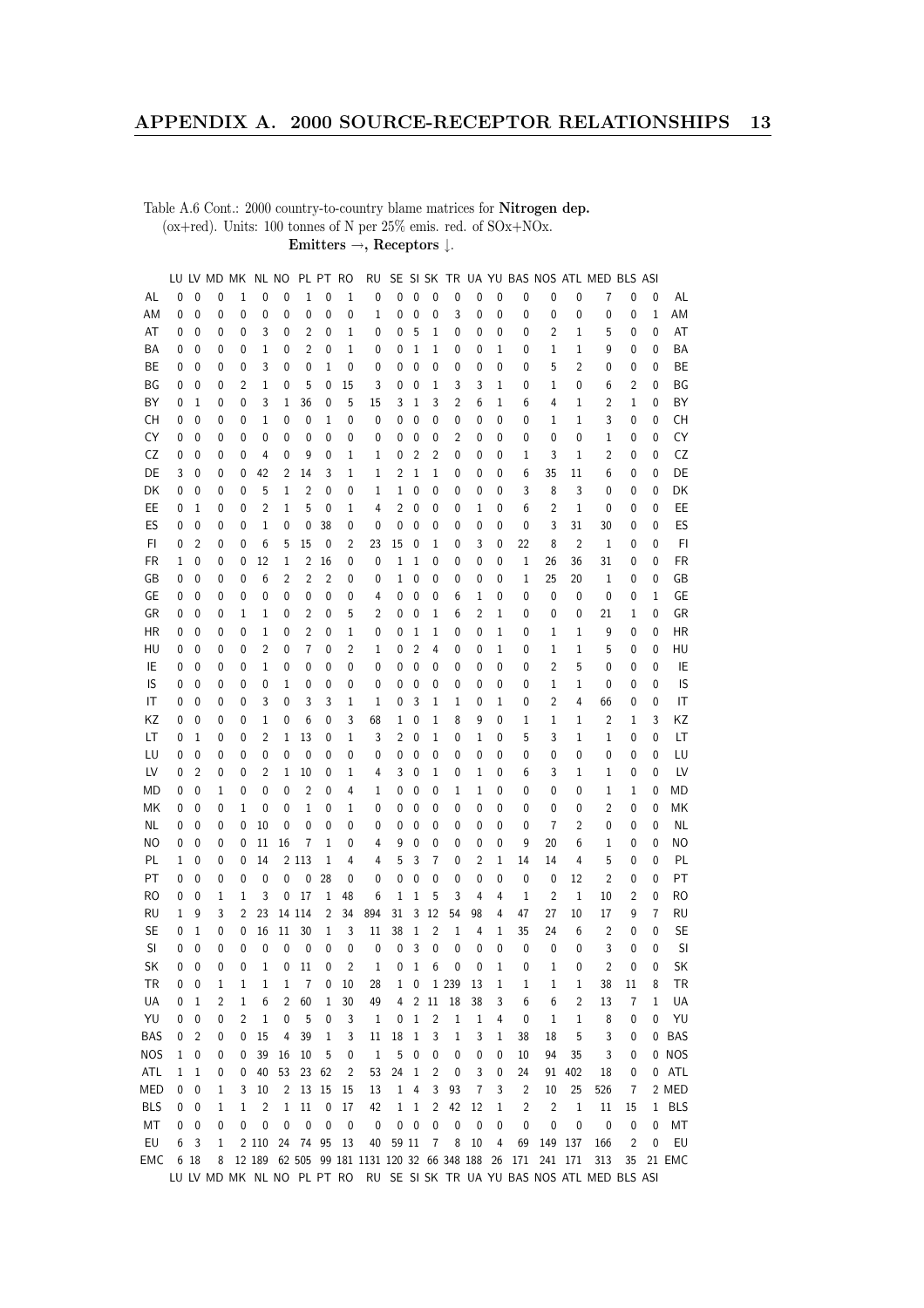Table A.6 Cont.: 2000 country-to-country blame matrices for Nitrogen dep. (ox+red). Units: 100 tonnes of N per 25% emis. red. of  $\mathrm{SOx}{+}\mathrm{NOx}.$ Emitters  $\rightarrow$  Receptors  $\downarrow$ .

| $\mathbf 0$<br>$\mathbf 0$<br>0<br>1<br>0<br>$\mathbf{0}$<br>$\mathbf{0}$<br>0<br>$\mathbf 0$<br>0<br>0<br>0<br>0<br>AL<br>0<br>1<br>1<br>0<br>0<br>0<br>7<br>0<br>0<br>AL<br>0<br>0<br>1<br>AM<br>ΑM<br>0<br>0<br>0<br>0<br>0<br>0<br>0<br>0<br>1<br>0<br>0<br>0<br>3<br>0<br>0<br>0<br>0<br>0<br>0<br>AT<br>$\overline{c}$<br>0<br>$1\,$<br>5<br>1<br>2<br>$1\,$<br>5<br>0<br>AT<br>0<br>0<br>0<br>3<br>0<br>0<br>0<br>0<br>0<br>0<br>0<br>0<br>0<br>ΒA<br>ΒA<br>1<br>2<br>0<br>1<br>0<br>0<br>1<br>1<br>1<br>0<br>1<br>1<br>9<br>0<br>0<br>0<br>0<br>0<br>0<br>0<br>0<br>0<br>5<br>$\overline{2}$<br>BE<br>BЕ<br>3<br>0<br>0<br>1<br>0<br>0<br>0<br>0<br>0<br>0<br>0<br>0<br>0<br>0<br>0<br>0<br>0<br>0<br>0<br>0<br>ΒG<br>15<br>$\mathbf{0}$<br>2<br>ΒG<br>0<br>0<br>0<br>2<br>1<br>0<br>5<br>0<br>3<br>0<br>1<br>3<br>3<br>1<br>0<br>1<br>0<br>6<br>0<br>ΒY<br>ΒY<br>3<br>36<br>0<br>5<br>15<br>3<br>1<br>3<br>2<br>6<br>6<br>4<br>1<br>2<br>1<br>0<br>0<br>1<br>0<br>0<br>1<br>1<br>CH<br>CН<br>0<br>0<br>1<br>0<br>0<br>1<br>0<br>0<br>0<br>0<br>0<br>0<br>0<br>0<br>$\mathbf{1}$<br>3<br>0<br>0<br>0<br>0<br>0<br>1<br>CY<br>CY<br>0<br>0<br>0<br>0<br>0<br>2<br>0<br>0<br>0<br>0<br>1<br>0<br>0<br>0<br>0<br>0<br>0<br>0<br>0<br>0<br>0<br>0<br>CZ<br>CZ<br>$\mathbf 0$<br>$\overline{2}$<br>2<br>3<br>$\overline{2}$<br>0<br>0<br>0<br>0<br>4<br>0<br>9<br>1<br>0<br>0<br>0<br>0<br>1<br>$\mathbf{1}$<br>0<br>0<br>1<br>35<br>DE<br>DE<br>3<br>0<br>0<br>42<br>2<br>14<br>3<br>1<br>1<br>2<br>1<br>1<br>0<br>0<br>0<br>6<br>11<br>6<br>0<br>0<br>0<br>5<br>$\overline{c}$<br>0<br>$\mathbf 1$<br>3<br>8<br>3<br>DK<br>DK<br>0<br>0<br>1<br>0<br>0<br>0<br>0<br>0<br>0<br>0<br>0<br>0<br>0<br>1<br>0<br>EE<br>EE<br>1<br>$\overline{2}$<br>2<br>$1\,$<br>0<br>1<br>0<br>2<br>5<br>0<br>1<br>4<br>0<br>0<br>0<br>6<br>0<br>0<br>0<br>0<br>0<br>1<br>ES<br>0<br>3<br>ES<br>0<br>0<br>1<br>0<br>0<br>38<br>0<br>0<br>0<br>0<br>31<br>0<br>0<br>0<br>0<br>0<br>0<br>0<br>30<br>0<br>FI<br>$\overline{2}$<br>23<br>22<br>$\overline{2}$<br>FI<br>0<br>0<br>0<br>6<br>5<br>15<br>0<br>2<br>15<br>0<br>3<br>0<br>8<br>1<br>0<br>1<br>0<br>0<br><b>FR</b><br>FR<br>1<br>0<br>12<br>2<br>16<br>0<br>0<br>1<br>1<br>1<br>36<br>31<br>0<br>0<br>1<br>0<br>0<br>0<br>0<br>26<br>0<br>0<br>$\overline{c}$<br>GB<br>GB<br>0<br>0<br>0<br>6<br>2<br>2<br>0<br>1<br>0<br>1<br>25<br>20<br>$\mathbf{1}$<br>0<br>0<br>0<br>0<br>0<br>0<br>0<br>0<br>GE<br>GЕ<br>0<br>0<br>0<br>0<br>0<br>0<br>0<br>1<br>0<br>0<br>0<br>0<br>0<br>0<br>0<br>4<br>0<br>6<br>1<br>0<br>0<br>0<br>GR<br>GR<br>$\mathbf{0}$<br>5<br>$\overline{2}$<br>0<br>0<br>0<br>2<br>0<br>0<br>6<br>2<br>1<br>0<br>0<br>0<br>21<br>1<br>0<br>1<br>1<br>0<br>1<br>9<br>HR<br>ΗR<br>0<br>0<br>0<br>0<br>1<br>0<br>2<br>0<br>1<br>0<br>0<br>1<br>1<br>0<br>0<br>1<br>0<br>1<br>1<br>0<br>0<br>$\overline{2}$<br>7<br>0<br>$\overline{c}$<br>$\overline{2}$<br>1<br>5<br>0<br>HU<br>HU<br>0<br>0<br>0<br>0<br>1<br>0<br>4<br>0<br>0<br>0<br>1<br>1<br>0<br>0<br>IE<br>IE<br>2<br>0<br>0<br>1<br>0<br>0<br>0<br>0<br>0<br>0<br>0<br>0<br>0<br>0<br>0<br>0<br>5<br>0<br>0<br>0<br>0<br>0<br>IS<br>IS<br>0<br>0<br>0<br>0<br>0<br>0<br>0<br>1<br>1<br>0<br>0<br>0<br>0<br>0<br>0<br>1<br>0<br>0<br>0<br>0<br>0<br>0<br>IT<br>3<br>3<br>3<br>2<br>4<br>IT<br>0<br>0<br>0<br>3<br>0<br>1<br>1<br>0<br>1<br>0<br>66<br>0<br>0<br>0<br>1<br>1<br>0<br>ΚZ<br>ΚZ<br>0<br>0<br>1<br>0<br>6<br>0<br>3<br>68<br>1<br>0<br>1<br>8<br>9<br>0<br>1<br>1<br>2<br>1<br>3<br>0<br>0<br>1<br>13<br>3<br>5<br>3<br>LT<br>LT<br>0<br>1<br>2<br>1<br>0<br>1<br>2<br>0<br>1<br>1<br>1<br>0<br>0<br>0<br>0<br>0<br>1<br>0<br>LU<br>LU<br>0<br>0<br>0<br>0<br>0<br>0<br>0<br>0<br>0<br>0<br>0<br>0<br>0<br>0<br>0<br>0<br>0<br>0<br>0<br>0<br>0<br>0<br>LV<br>LV<br>0<br>2<br>2<br>10<br>3<br>0<br>6<br>3<br>0<br>0<br>0<br>0<br>1<br>0<br>1<br>4<br>1<br>0<br>1<br>0<br>1<br>1<br>MD<br>$\overline{c}$<br>ΜD<br>0<br>0<br>1<br>0<br>0<br>0<br>0<br>4<br>1<br>0<br>0<br>0<br>1<br>0<br>0<br>0<br>0<br>1<br>1<br>0<br>1<br>$\overline{2}$<br>MΚ<br>ΜK<br>0<br>0<br>0<br>1<br>0<br>0<br>1<br>0<br>1<br>0<br>0<br>0<br>0<br>0<br>0<br>0<br>0<br>0<br>0<br>0<br>0<br>$\mathbf{0}$<br>$\overline{2}$<br><b>NL</b><br>ΝL<br>0<br>0<br>0<br>10<br>0<br>0<br>0<br>0<br>0<br>0<br>7<br>0<br>0<br>0<br>0<br>0<br>0<br>0<br>0<br>0<br><b>NO</b><br>NO<br>11<br>16<br>7<br>1<br>9<br>0<br>0<br>0<br>9<br>20<br>6<br>0<br>0<br>0<br>0<br>0<br>0<br>4<br>0<br>0<br>1<br>0<br>PL<br>PL<br>2 1 1 3<br>3<br>0<br>14<br>1<br>4<br>5<br>7<br>2<br>14<br>14<br>4<br>5<br>0<br>0<br>1<br>0<br>0<br>4<br>0<br>1<br>28<br>PT<br>PT<br>0<br>0<br>0<br>0<br>0<br>0<br>0<br>0<br>0<br>0<br>0<br>0<br>0<br>0<br>0<br>12<br>2<br>0<br>0<br>0<br>0<br>3<br>$\overline{c}$<br><b>RO</b><br>RO<br>0<br>1<br>0<br>17<br>1<br>48<br>6<br>1<br>1<br>5<br>3<br>1<br>2<br>0<br>1<br>4<br>4<br>1<br>10<br>0<br>14 114<br>34<br>31<br>12<br>RU<br>RU<br>1<br>9<br>3<br>2<br>23<br>2<br>894<br>3<br>54<br>98<br>47<br>27<br>10<br>17<br>9<br>7<br>4<br>SE<br><b>SE</b><br>16<br>11<br>1<br>0<br>30<br>1<br>3<br>38<br>1<br>2<br>35<br>24<br>6<br>2<br>0<br>0<br>0<br>0<br>11<br>1<br>4<br>1<br>SI<br>SI<br>$\mathbf{0}$<br>$\mathbf{0}$<br>0<br>$\mathbf{0}$<br>$\mathbf{0}$<br>$\mathbf{0}$<br>0<br>3<br>0<br>$\mathbf{0}$<br>0<br>0<br>3<br>0<br>0<br>0<br>0<br>0<br>0<br>0<br>0<br>0<br>SK<br>SK<br>$\boldsymbol{6}$<br>$\overline{c}$<br>0<br>0<br>0<br>$\mathbf 1$<br>0<br>$\overline{\mathbf{c}}$<br>$1\,$<br>$\pmb{0}$<br>$1\,$<br>0<br>0<br>$\pmb{0}$<br>0<br>11<br>$\pmb{0}$<br>1<br>0<br>0<br>0<br><b>TR</b><br>TR<br>0<br>0<br>1<br>1<br>0<br>1<br>38<br>1<br>1<br>7<br>10<br>28<br>1<br>0<br>1 239<br>13<br>1<br>1<br>1<br>11<br>8<br>UA<br>18<br>UA<br>1<br>2<br>1<br>6<br>2<br>60<br>1<br>30<br>49<br>2<br>11<br>38<br>6<br>6<br>2<br>13<br>7<br>1<br>0<br>4<br>3<br>YU<br>5<br>3<br>$\mathbf 1$<br>$\overline{c}$<br>YU<br>0<br>0<br>0<br>2<br>1<br>0<br>0<br>$\pmb{0}$<br>1<br>1<br>0<br>1<br>8<br>0<br>0<br>1<br>4<br>1<br><b>BAS</b><br>$\overline{2}$<br>15<br>39<br>18<br>$\,1$<br>3<br>3<br>0 BAS<br>0<br>0<br>0<br>4<br>1<br>3<br>11<br>1<br>3<br>38<br>18<br>5<br>0<br>1<br><b>NOS</b><br>$\mathbf 1$<br>5<br>0 NOS<br>1<br>0<br>39<br>16<br>10<br>5<br>0<br>0<br>0<br>0<br>0<br>94<br>35<br>3<br>0<br>0<br>0<br>10<br>0<br>ATL<br>53<br>0 ATL<br>1<br>40<br>23 62<br>2<br>53<br>24<br>$\mathbf{1}$<br>2<br>0<br>3<br>91<br>402<br>1<br>0<br>0<br>0<br>24<br>18<br>0<br><b>MED</b><br>13 15<br>2 MED<br>0<br>0<br>10<br>2<br>15<br>13<br>1<br>4<br>3<br>93<br>7<br>3<br>2<br>10<br>25<br>526<br>1<br>3<br>7<br><b>BLS</b><br>$11\,$<br>$\pmb{0}$<br>42<br>$\overline{c}$<br>42<br>12<br>$\overline{2}$<br><b>BLS</b><br>0<br>0<br>1<br>2<br>1<br>17<br>1<br>1<br>1<br>$\overline{c}$<br>1<br>11<br>15<br>$\mathbf{1}$<br>1<br>$\pmb{0}$<br>$\pmb{0}$<br>$\pmb{0}$<br>MT<br>$\pmb{0}$<br>0<br>$\pmb{0}$<br>$\pmb{0}$<br>0<br>$\mathbf 0$<br>$\pmb{0}$<br>$\mathbf 0$<br>0<br>$\pmb{0}$<br>$\pmb{0}$<br>$\mathbf 0$<br>$\pmb{0}$<br>$\pmb{0}$<br>MT<br>0<br>0<br>0<br>0<br>0<br>74 95<br>$\,8\,$<br>10<br>EU<br>6<br>2 1 1 0<br>24<br>13<br>40<br>59 11<br>$\overline{7}$<br>4<br>149 137<br>$\overline{2}$<br>0<br>EU<br>3<br>1<br>69<br>166<br>12 189 62 505 99 181 1131 120 32 66 348 188 26 171 241 171<br>EMC<br>6 18<br>313<br>35<br>21 EMC<br>8<br>LU LV MD MK NL NO PL PT RO RU SE SI SK TR UA YU BAS NOS ATL MED BLS ASI |  | LU LV MD MK |  | NL NO | PL PT RO | RU |  |  |  |  | SE SI SK TR UA YU BAS NOS ATL MED BLS ASI |  |  |
|-------------------------------------------------------------------------------------------------------------------------------------------------------------------------------------------------------------------------------------------------------------------------------------------------------------------------------------------------------------------------------------------------------------------------------------------------------------------------------------------------------------------------------------------------------------------------------------------------------------------------------------------------------------------------------------------------------------------------------------------------------------------------------------------------------------------------------------------------------------------------------------------------------------------------------------------------------------------------------------------------------------------------------------------------------------------------------------------------------------------------------------------------------------------------------------------------------------------------------------------------------------------------------------------------------------------------------------------------------------------------------------------------------------------------------------------------------------------------------------------------------------------------------------------------------------------------------------------------------------------------------------------------------------------------------------------------------------------------------------------------------------------------------------------------------------------------------------------------------------------------------------------------------------------------------------------------------------------------------------------------------------------------------------------------------------------------------------------------------------------------------------------------------------------------------------------------------------------------------------------------------------------------------------------------------------------------------------------------------------------------------------------------------------------------------------------------------------------------------------------------------------------------------------------------------------------------------------------------------------------------------------------------------------------------------------------------------------------------------------------------------------------------------------------------------------------------------------------------------------------------------------------------------------------------------------------------------------------------------------------------------------------------------------------------------------------------------------------------------------------------------------------------------------------------------------------------------------------------------------------------------------------------------------------------------------------------------------------------------------------------------------------------------------------------------------------------------------------------------------------------------------------------------------------------------------------------------------------------------------------------------------------------------------------------------------------------------------------------------------------------------------------------------------------------------------------------------------------------------------------------------------------------------------------------------------------------------------------------------------------------------------------------------------------------------------------------------------------------------------------------------------------------------------------------------------------------------------------------------------------------------------------------------------------------------------------------------------------------------------------------------------------------------------------------------------------------------------------------------------------------------------------------------------------------------------------------------------------------------------------------------------------------------------------------------------------------------------------------------------------------------------------------------------------------------------------------------------------------------------------------------------------------------------------------------------------------------------------------------------------------------------------------------------------------------------------------------------------------------------------------------------------------------------------------------------------------------------------------------------------------------------------------------------------------------------------------------------------------------------------------------------------------------------------------------------------------------------------------------------------------------------------------------------------------------------------------------------------------------------------------------------------------------------------------------------------------------------------------------------------------------------------------------------------------------------------------------------------------------------------------------------------------------------------------------------------------------------------------------------------------------------------------------------------------------------------------------------------------------------------------------------------------------------------------------------------------------------------------------------------------------------------------------------------------------------------------------------------------------------------------------------------------------------------------------------------------------------------------------------------------------------------------------------------------------------------------------------------------------------------------------------------------------------------------------------------------------------------------------------------------------------------------------------------------------------------------------------------------------------------------------------------------------------------------------------------------------------------------------------------------------------------------------------------------------------------------------------------------------------------------------------------------------------------------------------------------------------------------------------------------------------------------------------------------------------------------------------------------------------------------------------------------------------------------------------------|--|-------------|--|-------|----------|----|--|--|--|--|-------------------------------------------|--|--|
|                                                                                                                                                                                                                                                                                                                                                                                                                                                                                                                                                                                                                                                                                                                                                                                                                                                                                                                                                                                                                                                                                                                                                                                                                                                                                                                                                                                                                                                                                                                                                                                                                                                                                                                                                                                                                                                                                                                                                                                                                                                                                                                                                                                                                                                                                                                                                                                                                                                                                                                                                                                                                                                                                                                                                                                                                                                                                                                                                                                                                                                                                                                                                                                                                                                                                                                                                                                                                                                                                                                                                                                                                                                                                                                                                                                                                                                                                                                                                                                                                                                                                                                                                                                                                                                                                                                                                                                                                                                                                                                                                                                                                                                                                                                                                                                                                                                                                                                                                                                                                                                                                                                                                                                                                                                                                                                                                                                                                                                                                                                                                                                                                                                                                                                                                                                                                                                                                                                                                                                                                                                                                                                                                                                                                                                                                                                                                                                                                                                                                                                                                                                                                                                                                                                                                                                                                                                                                                                                                                                                                                                                                                                                                                                                                                                                                                                                                                                                                                           |  |             |  |       |          |    |  |  |  |  |                                           |  |  |
|                                                                                                                                                                                                                                                                                                                                                                                                                                                                                                                                                                                                                                                                                                                                                                                                                                                                                                                                                                                                                                                                                                                                                                                                                                                                                                                                                                                                                                                                                                                                                                                                                                                                                                                                                                                                                                                                                                                                                                                                                                                                                                                                                                                                                                                                                                                                                                                                                                                                                                                                                                                                                                                                                                                                                                                                                                                                                                                                                                                                                                                                                                                                                                                                                                                                                                                                                                                                                                                                                                                                                                                                                                                                                                                                                                                                                                                                                                                                                                                                                                                                                                                                                                                                                                                                                                                                                                                                                                                                                                                                                                                                                                                                                                                                                                                                                                                                                                                                                                                                                                                                                                                                                                                                                                                                                                                                                                                                                                                                                                                                                                                                                                                                                                                                                                                                                                                                                                                                                                                                                                                                                                                                                                                                                                                                                                                                                                                                                                                                                                                                                                                                                                                                                                                                                                                                                                                                                                                                                                                                                                                                                                                                                                                                                                                                                                                                                                                                                                           |  |             |  |       |          |    |  |  |  |  |                                           |  |  |
|                                                                                                                                                                                                                                                                                                                                                                                                                                                                                                                                                                                                                                                                                                                                                                                                                                                                                                                                                                                                                                                                                                                                                                                                                                                                                                                                                                                                                                                                                                                                                                                                                                                                                                                                                                                                                                                                                                                                                                                                                                                                                                                                                                                                                                                                                                                                                                                                                                                                                                                                                                                                                                                                                                                                                                                                                                                                                                                                                                                                                                                                                                                                                                                                                                                                                                                                                                                                                                                                                                                                                                                                                                                                                                                                                                                                                                                                                                                                                                                                                                                                                                                                                                                                                                                                                                                                                                                                                                                                                                                                                                                                                                                                                                                                                                                                                                                                                                                                                                                                                                                                                                                                                                                                                                                                                                                                                                                                                                                                                                                                                                                                                                                                                                                                                                                                                                                                                                                                                                                                                                                                                                                                                                                                                                                                                                                                                                                                                                                                                                                                                                                                                                                                                                                                                                                                                                                                                                                                                                                                                                                                                                                                                                                                                                                                                                                                                                                                                                           |  |             |  |       |          |    |  |  |  |  |                                           |  |  |
|                                                                                                                                                                                                                                                                                                                                                                                                                                                                                                                                                                                                                                                                                                                                                                                                                                                                                                                                                                                                                                                                                                                                                                                                                                                                                                                                                                                                                                                                                                                                                                                                                                                                                                                                                                                                                                                                                                                                                                                                                                                                                                                                                                                                                                                                                                                                                                                                                                                                                                                                                                                                                                                                                                                                                                                                                                                                                                                                                                                                                                                                                                                                                                                                                                                                                                                                                                                                                                                                                                                                                                                                                                                                                                                                                                                                                                                                                                                                                                                                                                                                                                                                                                                                                                                                                                                                                                                                                                                                                                                                                                                                                                                                                                                                                                                                                                                                                                                                                                                                                                                                                                                                                                                                                                                                                                                                                                                                                                                                                                                                                                                                                                                                                                                                                                                                                                                                                                                                                                                                                                                                                                                                                                                                                                                                                                                                                                                                                                                                                                                                                                                                                                                                                                                                                                                                                                                                                                                                                                                                                                                                                                                                                                                                                                                                                                                                                                                                                                           |  |             |  |       |          |    |  |  |  |  |                                           |  |  |
|                                                                                                                                                                                                                                                                                                                                                                                                                                                                                                                                                                                                                                                                                                                                                                                                                                                                                                                                                                                                                                                                                                                                                                                                                                                                                                                                                                                                                                                                                                                                                                                                                                                                                                                                                                                                                                                                                                                                                                                                                                                                                                                                                                                                                                                                                                                                                                                                                                                                                                                                                                                                                                                                                                                                                                                                                                                                                                                                                                                                                                                                                                                                                                                                                                                                                                                                                                                                                                                                                                                                                                                                                                                                                                                                                                                                                                                                                                                                                                                                                                                                                                                                                                                                                                                                                                                                                                                                                                                                                                                                                                                                                                                                                                                                                                                                                                                                                                                                                                                                                                                                                                                                                                                                                                                                                                                                                                                                                                                                                                                                                                                                                                                                                                                                                                                                                                                                                                                                                                                                                                                                                                                                                                                                                                                                                                                                                                                                                                                                                                                                                                                                                                                                                                                                                                                                                                                                                                                                                                                                                                                                                                                                                                                                                                                                                                                                                                                                                                           |  |             |  |       |          |    |  |  |  |  |                                           |  |  |
|                                                                                                                                                                                                                                                                                                                                                                                                                                                                                                                                                                                                                                                                                                                                                                                                                                                                                                                                                                                                                                                                                                                                                                                                                                                                                                                                                                                                                                                                                                                                                                                                                                                                                                                                                                                                                                                                                                                                                                                                                                                                                                                                                                                                                                                                                                                                                                                                                                                                                                                                                                                                                                                                                                                                                                                                                                                                                                                                                                                                                                                                                                                                                                                                                                                                                                                                                                                                                                                                                                                                                                                                                                                                                                                                                                                                                                                                                                                                                                                                                                                                                                                                                                                                                                                                                                                                                                                                                                                                                                                                                                                                                                                                                                                                                                                                                                                                                                                                                                                                                                                                                                                                                                                                                                                                                                                                                                                                                                                                                                                                                                                                                                                                                                                                                                                                                                                                                                                                                                                                                                                                                                                                                                                                                                                                                                                                                                                                                                                                                                                                                                                                                                                                                                                                                                                                                                                                                                                                                                                                                                                                                                                                                                                                                                                                                                                                                                                                                                           |  |             |  |       |          |    |  |  |  |  |                                           |  |  |
|                                                                                                                                                                                                                                                                                                                                                                                                                                                                                                                                                                                                                                                                                                                                                                                                                                                                                                                                                                                                                                                                                                                                                                                                                                                                                                                                                                                                                                                                                                                                                                                                                                                                                                                                                                                                                                                                                                                                                                                                                                                                                                                                                                                                                                                                                                                                                                                                                                                                                                                                                                                                                                                                                                                                                                                                                                                                                                                                                                                                                                                                                                                                                                                                                                                                                                                                                                                                                                                                                                                                                                                                                                                                                                                                                                                                                                                                                                                                                                                                                                                                                                                                                                                                                                                                                                                                                                                                                                                                                                                                                                                                                                                                                                                                                                                                                                                                                                                                                                                                                                                                                                                                                                                                                                                                                                                                                                                                                                                                                                                                                                                                                                                                                                                                                                                                                                                                                                                                                                                                                                                                                                                                                                                                                                                                                                                                                                                                                                                                                                                                                                                                                                                                                                                                                                                                                                                                                                                                                                                                                                                                                                                                                                                                                                                                                                                                                                                                                                           |  |             |  |       |          |    |  |  |  |  |                                           |  |  |
|                                                                                                                                                                                                                                                                                                                                                                                                                                                                                                                                                                                                                                                                                                                                                                                                                                                                                                                                                                                                                                                                                                                                                                                                                                                                                                                                                                                                                                                                                                                                                                                                                                                                                                                                                                                                                                                                                                                                                                                                                                                                                                                                                                                                                                                                                                                                                                                                                                                                                                                                                                                                                                                                                                                                                                                                                                                                                                                                                                                                                                                                                                                                                                                                                                                                                                                                                                                                                                                                                                                                                                                                                                                                                                                                                                                                                                                                                                                                                                                                                                                                                                                                                                                                                                                                                                                                                                                                                                                                                                                                                                                                                                                                                                                                                                                                                                                                                                                                                                                                                                                                                                                                                                                                                                                                                                                                                                                                                                                                                                                                                                                                                                                                                                                                                                                                                                                                                                                                                                                                                                                                                                                                                                                                                                                                                                                                                                                                                                                                                                                                                                                                                                                                                                                                                                                                                                                                                                                                                                                                                                                                                                                                                                                                                                                                                                                                                                                                                                           |  |             |  |       |          |    |  |  |  |  |                                           |  |  |
|                                                                                                                                                                                                                                                                                                                                                                                                                                                                                                                                                                                                                                                                                                                                                                                                                                                                                                                                                                                                                                                                                                                                                                                                                                                                                                                                                                                                                                                                                                                                                                                                                                                                                                                                                                                                                                                                                                                                                                                                                                                                                                                                                                                                                                                                                                                                                                                                                                                                                                                                                                                                                                                                                                                                                                                                                                                                                                                                                                                                                                                                                                                                                                                                                                                                                                                                                                                                                                                                                                                                                                                                                                                                                                                                                                                                                                                                                                                                                                                                                                                                                                                                                                                                                                                                                                                                                                                                                                                                                                                                                                                                                                                                                                                                                                                                                                                                                                                                                                                                                                                                                                                                                                                                                                                                                                                                                                                                                                                                                                                                                                                                                                                                                                                                                                                                                                                                                                                                                                                                                                                                                                                                                                                                                                                                                                                                                                                                                                                                                                                                                                                                                                                                                                                                                                                                                                                                                                                                                                                                                                                                                                                                                                                                                                                                                                                                                                                                                                           |  |             |  |       |          |    |  |  |  |  |                                           |  |  |
|                                                                                                                                                                                                                                                                                                                                                                                                                                                                                                                                                                                                                                                                                                                                                                                                                                                                                                                                                                                                                                                                                                                                                                                                                                                                                                                                                                                                                                                                                                                                                                                                                                                                                                                                                                                                                                                                                                                                                                                                                                                                                                                                                                                                                                                                                                                                                                                                                                                                                                                                                                                                                                                                                                                                                                                                                                                                                                                                                                                                                                                                                                                                                                                                                                                                                                                                                                                                                                                                                                                                                                                                                                                                                                                                                                                                                                                                                                                                                                                                                                                                                                                                                                                                                                                                                                                                                                                                                                                                                                                                                                                                                                                                                                                                                                                                                                                                                                                                                                                                                                                                                                                                                                                                                                                                                                                                                                                                                                                                                                                                                                                                                                                                                                                                                                                                                                                                                                                                                                                                                                                                                                                                                                                                                                                                                                                                                                                                                                                                                                                                                                                                                                                                                                                                                                                                                                                                                                                                                                                                                                                                                                                                                                                                                                                                                                                                                                                                                                           |  |             |  |       |          |    |  |  |  |  |                                           |  |  |
|                                                                                                                                                                                                                                                                                                                                                                                                                                                                                                                                                                                                                                                                                                                                                                                                                                                                                                                                                                                                                                                                                                                                                                                                                                                                                                                                                                                                                                                                                                                                                                                                                                                                                                                                                                                                                                                                                                                                                                                                                                                                                                                                                                                                                                                                                                                                                                                                                                                                                                                                                                                                                                                                                                                                                                                                                                                                                                                                                                                                                                                                                                                                                                                                                                                                                                                                                                                                                                                                                                                                                                                                                                                                                                                                                                                                                                                                                                                                                                                                                                                                                                                                                                                                                                                                                                                                                                                                                                                                                                                                                                                                                                                                                                                                                                                                                                                                                                                                                                                                                                                                                                                                                                                                                                                                                                                                                                                                                                                                                                                                                                                                                                                                                                                                                                                                                                                                                                                                                                                                                                                                                                                                                                                                                                                                                                                                                                                                                                                                                                                                                                                                                                                                                                                                                                                                                                                                                                                                                                                                                                                                                                                                                                                                                                                                                                                                                                                                                                           |  |             |  |       |          |    |  |  |  |  |                                           |  |  |
|                                                                                                                                                                                                                                                                                                                                                                                                                                                                                                                                                                                                                                                                                                                                                                                                                                                                                                                                                                                                                                                                                                                                                                                                                                                                                                                                                                                                                                                                                                                                                                                                                                                                                                                                                                                                                                                                                                                                                                                                                                                                                                                                                                                                                                                                                                                                                                                                                                                                                                                                                                                                                                                                                                                                                                                                                                                                                                                                                                                                                                                                                                                                                                                                                                                                                                                                                                                                                                                                                                                                                                                                                                                                                                                                                                                                                                                                                                                                                                                                                                                                                                                                                                                                                                                                                                                                                                                                                                                                                                                                                                                                                                                                                                                                                                                                                                                                                                                                                                                                                                                                                                                                                                                                                                                                                                                                                                                                                                                                                                                                                                                                                                                                                                                                                                                                                                                                                                                                                                                                                                                                                                                                                                                                                                                                                                                                                                                                                                                                                                                                                                                                                                                                                                                                                                                                                                                                                                                                                                                                                                                                                                                                                                                                                                                                                                                                                                                                                                           |  |             |  |       |          |    |  |  |  |  |                                           |  |  |
|                                                                                                                                                                                                                                                                                                                                                                                                                                                                                                                                                                                                                                                                                                                                                                                                                                                                                                                                                                                                                                                                                                                                                                                                                                                                                                                                                                                                                                                                                                                                                                                                                                                                                                                                                                                                                                                                                                                                                                                                                                                                                                                                                                                                                                                                                                                                                                                                                                                                                                                                                                                                                                                                                                                                                                                                                                                                                                                                                                                                                                                                                                                                                                                                                                                                                                                                                                                                                                                                                                                                                                                                                                                                                                                                                                                                                                                                                                                                                                                                                                                                                                                                                                                                                                                                                                                                                                                                                                                                                                                                                                                                                                                                                                                                                                                                                                                                                                                                                                                                                                                                                                                                                                                                                                                                                                                                                                                                                                                                                                                                                                                                                                                                                                                                                                                                                                                                                                                                                                                                                                                                                                                                                                                                                                                                                                                                                                                                                                                                                                                                                                                                                                                                                                                                                                                                                                                                                                                                                                                                                                                                                                                                                                                                                                                                                                                                                                                                                                           |  |             |  |       |          |    |  |  |  |  |                                           |  |  |
|                                                                                                                                                                                                                                                                                                                                                                                                                                                                                                                                                                                                                                                                                                                                                                                                                                                                                                                                                                                                                                                                                                                                                                                                                                                                                                                                                                                                                                                                                                                                                                                                                                                                                                                                                                                                                                                                                                                                                                                                                                                                                                                                                                                                                                                                                                                                                                                                                                                                                                                                                                                                                                                                                                                                                                                                                                                                                                                                                                                                                                                                                                                                                                                                                                                                                                                                                                                                                                                                                                                                                                                                                                                                                                                                                                                                                                                                                                                                                                                                                                                                                                                                                                                                                                                                                                                                                                                                                                                                                                                                                                                                                                                                                                                                                                                                                                                                                                                                                                                                                                                                                                                                                                                                                                                                                                                                                                                                                                                                                                                                                                                                                                                                                                                                                                                                                                                                                                                                                                                                                                                                                                                                                                                                                                                                                                                                                                                                                                                                                                                                                                                                                                                                                                                                                                                                                                                                                                                                                                                                                                                                                                                                                                                                                                                                                                                                                                                                                                           |  |             |  |       |          |    |  |  |  |  |                                           |  |  |
|                                                                                                                                                                                                                                                                                                                                                                                                                                                                                                                                                                                                                                                                                                                                                                                                                                                                                                                                                                                                                                                                                                                                                                                                                                                                                                                                                                                                                                                                                                                                                                                                                                                                                                                                                                                                                                                                                                                                                                                                                                                                                                                                                                                                                                                                                                                                                                                                                                                                                                                                                                                                                                                                                                                                                                                                                                                                                                                                                                                                                                                                                                                                                                                                                                                                                                                                                                                                                                                                                                                                                                                                                                                                                                                                                                                                                                                                                                                                                                                                                                                                                                                                                                                                                                                                                                                                                                                                                                                                                                                                                                                                                                                                                                                                                                                                                                                                                                                                                                                                                                                                                                                                                                                                                                                                                                                                                                                                                                                                                                                                                                                                                                                                                                                                                                                                                                                                                                                                                                                                                                                                                                                                                                                                                                                                                                                                                                                                                                                                                                                                                                                                                                                                                                                                                                                                                                                                                                                                                                                                                                                                                                                                                                                                                                                                                                                                                                                                                                           |  |             |  |       |          |    |  |  |  |  |                                           |  |  |
|                                                                                                                                                                                                                                                                                                                                                                                                                                                                                                                                                                                                                                                                                                                                                                                                                                                                                                                                                                                                                                                                                                                                                                                                                                                                                                                                                                                                                                                                                                                                                                                                                                                                                                                                                                                                                                                                                                                                                                                                                                                                                                                                                                                                                                                                                                                                                                                                                                                                                                                                                                                                                                                                                                                                                                                                                                                                                                                                                                                                                                                                                                                                                                                                                                                                                                                                                                                                                                                                                                                                                                                                                                                                                                                                                                                                                                                                                                                                                                                                                                                                                                                                                                                                                                                                                                                                                                                                                                                                                                                                                                                                                                                                                                                                                                                                                                                                                                                                                                                                                                                                                                                                                                                                                                                                                                                                                                                                                                                                                                                                                                                                                                                                                                                                                                                                                                                                                                                                                                                                                                                                                                                                                                                                                                                                                                                                                                                                                                                                                                                                                                                                                                                                                                                                                                                                                                                                                                                                                                                                                                                                                                                                                                                                                                                                                                                                                                                                                                           |  |             |  |       |          |    |  |  |  |  |                                           |  |  |
|                                                                                                                                                                                                                                                                                                                                                                                                                                                                                                                                                                                                                                                                                                                                                                                                                                                                                                                                                                                                                                                                                                                                                                                                                                                                                                                                                                                                                                                                                                                                                                                                                                                                                                                                                                                                                                                                                                                                                                                                                                                                                                                                                                                                                                                                                                                                                                                                                                                                                                                                                                                                                                                                                                                                                                                                                                                                                                                                                                                                                                                                                                                                                                                                                                                                                                                                                                                                                                                                                                                                                                                                                                                                                                                                                                                                                                                                                                                                                                                                                                                                                                                                                                                                                                                                                                                                                                                                                                                                                                                                                                                                                                                                                                                                                                                                                                                                                                                                                                                                                                                                                                                                                                                                                                                                                                                                                                                                                                                                                                                                                                                                                                                                                                                                                                                                                                                                                                                                                                                                                                                                                                                                                                                                                                                                                                                                                                                                                                                                                                                                                                                                                                                                                                                                                                                                                                                                                                                                                                                                                                                                                                                                                                                                                                                                                                                                                                                                                                           |  |             |  |       |          |    |  |  |  |  |                                           |  |  |
|                                                                                                                                                                                                                                                                                                                                                                                                                                                                                                                                                                                                                                                                                                                                                                                                                                                                                                                                                                                                                                                                                                                                                                                                                                                                                                                                                                                                                                                                                                                                                                                                                                                                                                                                                                                                                                                                                                                                                                                                                                                                                                                                                                                                                                                                                                                                                                                                                                                                                                                                                                                                                                                                                                                                                                                                                                                                                                                                                                                                                                                                                                                                                                                                                                                                                                                                                                                                                                                                                                                                                                                                                                                                                                                                                                                                                                                                                                                                                                                                                                                                                                                                                                                                                                                                                                                                                                                                                                                                                                                                                                                                                                                                                                                                                                                                                                                                                                                                                                                                                                                                                                                                                                                                                                                                                                                                                                                                                                                                                                                                                                                                                                                                                                                                                                                                                                                                                                                                                                                                                                                                                                                                                                                                                                                                                                                                                                                                                                                                                                                                                                                                                                                                                                                                                                                                                                                                                                                                                                                                                                                                                                                                                                                                                                                                                                                                                                                                                                           |  |             |  |       |          |    |  |  |  |  |                                           |  |  |
|                                                                                                                                                                                                                                                                                                                                                                                                                                                                                                                                                                                                                                                                                                                                                                                                                                                                                                                                                                                                                                                                                                                                                                                                                                                                                                                                                                                                                                                                                                                                                                                                                                                                                                                                                                                                                                                                                                                                                                                                                                                                                                                                                                                                                                                                                                                                                                                                                                                                                                                                                                                                                                                                                                                                                                                                                                                                                                                                                                                                                                                                                                                                                                                                                                                                                                                                                                                                                                                                                                                                                                                                                                                                                                                                                                                                                                                                                                                                                                                                                                                                                                                                                                                                                                                                                                                                                                                                                                                                                                                                                                                                                                                                                                                                                                                                                                                                                                                                                                                                                                                                                                                                                                                                                                                                                                                                                                                                                                                                                                                                                                                                                                                                                                                                                                                                                                                                                                                                                                                                                                                                                                                                                                                                                                                                                                                                                                                                                                                                                                                                                                                                                                                                                                                                                                                                                                                                                                                                                                                                                                                                                                                                                                                                                                                                                                                                                                                                                                           |  |             |  |       |          |    |  |  |  |  |                                           |  |  |
|                                                                                                                                                                                                                                                                                                                                                                                                                                                                                                                                                                                                                                                                                                                                                                                                                                                                                                                                                                                                                                                                                                                                                                                                                                                                                                                                                                                                                                                                                                                                                                                                                                                                                                                                                                                                                                                                                                                                                                                                                                                                                                                                                                                                                                                                                                                                                                                                                                                                                                                                                                                                                                                                                                                                                                                                                                                                                                                                                                                                                                                                                                                                                                                                                                                                                                                                                                                                                                                                                                                                                                                                                                                                                                                                                                                                                                                                                                                                                                                                                                                                                                                                                                                                                                                                                                                                                                                                                                                                                                                                                                                                                                                                                                                                                                                                                                                                                                                                                                                                                                                                                                                                                                                                                                                                                                                                                                                                                                                                                                                                                                                                                                                                                                                                                                                                                                                                                                                                                                                                                                                                                                                                                                                                                                                                                                                                                                                                                                                                                                                                                                                                                                                                                                                                                                                                                                                                                                                                                                                                                                                                                                                                                                                                                                                                                                                                                                                                                                           |  |             |  |       |          |    |  |  |  |  |                                           |  |  |
|                                                                                                                                                                                                                                                                                                                                                                                                                                                                                                                                                                                                                                                                                                                                                                                                                                                                                                                                                                                                                                                                                                                                                                                                                                                                                                                                                                                                                                                                                                                                                                                                                                                                                                                                                                                                                                                                                                                                                                                                                                                                                                                                                                                                                                                                                                                                                                                                                                                                                                                                                                                                                                                                                                                                                                                                                                                                                                                                                                                                                                                                                                                                                                                                                                                                                                                                                                                                                                                                                                                                                                                                                                                                                                                                                                                                                                                                                                                                                                                                                                                                                                                                                                                                                                                                                                                                                                                                                                                                                                                                                                                                                                                                                                                                                                                                                                                                                                                                                                                                                                                                                                                                                                                                                                                                                                                                                                                                                                                                                                                                                                                                                                                                                                                                                                                                                                                                                                                                                                                                                                                                                                                                                                                                                                                                                                                                                                                                                                                                                                                                                                                                                                                                                                                                                                                                                                                                                                                                                                                                                                                                                                                                                                                                                                                                                                                                                                                                                                           |  |             |  |       |          |    |  |  |  |  |                                           |  |  |
|                                                                                                                                                                                                                                                                                                                                                                                                                                                                                                                                                                                                                                                                                                                                                                                                                                                                                                                                                                                                                                                                                                                                                                                                                                                                                                                                                                                                                                                                                                                                                                                                                                                                                                                                                                                                                                                                                                                                                                                                                                                                                                                                                                                                                                                                                                                                                                                                                                                                                                                                                                                                                                                                                                                                                                                                                                                                                                                                                                                                                                                                                                                                                                                                                                                                                                                                                                                                                                                                                                                                                                                                                                                                                                                                                                                                                                                                                                                                                                                                                                                                                                                                                                                                                                                                                                                                                                                                                                                                                                                                                                                                                                                                                                                                                                                                                                                                                                                                                                                                                                                                                                                                                                                                                                                                                                                                                                                                                                                                                                                                                                                                                                                                                                                                                                                                                                                                                                                                                                                                                                                                                                                                                                                                                                                                                                                                                                                                                                                                                                                                                                                                                                                                                                                                                                                                                                                                                                                                                                                                                                                                                                                                                                                                                                                                                                                                                                                                                                           |  |             |  |       |          |    |  |  |  |  |                                           |  |  |
|                                                                                                                                                                                                                                                                                                                                                                                                                                                                                                                                                                                                                                                                                                                                                                                                                                                                                                                                                                                                                                                                                                                                                                                                                                                                                                                                                                                                                                                                                                                                                                                                                                                                                                                                                                                                                                                                                                                                                                                                                                                                                                                                                                                                                                                                                                                                                                                                                                                                                                                                                                                                                                                                                                                                                                                                                                                                                                                                                                                                                                                                                                                                                                                                                                                                                                                                                                                                                                                                                                                                                                                                                                                                                                                                                                                                                                                                                                                                                                                                                                                                                                                                                                                                                                                                                                                                                                                                                                                                                                                                                                                                                                                                                                                                                                                                                                                                                                                                                                                                                                                                                                                                                                                                                                                                                                                                                                                                                                                                                                                                                                                                                                                                                                                                                                                                                                                                                                                                                                                                                                                                                                                                                                                                                                                                                                                                                                                                                                                                                                                                                                                                                                                                                                                                                                                                                                                                                                                                                                                                                                                                                                                                                                                                                                                                                                                                                                                                                                           |  |             |  |       |          |    |  |  |  |  |                                           |  |  |
|                                                                                                                                                                                                                                                                                                                                                                                                                                                                                                                                                                                                                                                                                                                                                                                                                                                                                                                                                                                                                                                                                                                                                                                                                                                                                                                                                                                                                                                                                                                                                                                                                                                                                                                                                                                                                                                                                                                                                                                                                                                                                                                                                                                                                                                                                                                                                                                                                                                                                                                                                                                                                                                                                                                                                                                                                                                                                                                                                                                                                                                                                                                                                                                                                                                                                                                                                                                                                                                                                                                                                                                                                                                                                                                                                                                                                                                                                                                                                                                                                                                                                                                                                                                                                                                                                                                                                                                                                                                                                                                                                                                                                                                                                                                                                                                                                                                                                                                                                                                                                                                                                                                                                                                                                                                                                                                                                                                                                                                                                                                                                                                                                                                                                                                                                                                                                                                                                                                                                                                                                                                                                                                                                                                                                                                                                                                                                                                                                                                                                                                                                                                                                                                                                                                                                                                                                                                                                                                                                                                                                                                                                                                                                                                                                                                                                                                                                                                                                                           |  |             |  |       |          |    |  |  |  |  |                                           |  |  |
|                                                                                                                                                                                                                                                                                                                                                                                                                                                                                                                                                                                                                                                                                                                                                                                                                                                                                                                                                                                                                                                                                                                                                                                                                                                                                                                                                                                                                                                                                                                                                                                                                                                                                                                                                                                                                                                                                                                                                                                                                                                                                                                                                                                                                                                                                                                                                                                                                                                                                                                                                                                                                                                                                                                                                                                                                                                                                                                                                                                                                                                                                                                                                                                                                                                                                                                                                                                                                                                                                                                                                                                                                                                                                                                                                                                                                                                                                                                                                                                                                                                                                                                                                                                                                                                                                                                                                                                                                                                                                                                                                                                                                                                                                                                                                                                                                                                                                                                                                                                                                                                                                                                                                                                                                                                                                                                                                                                                                                                                                                                                                                                                                                                                                                                                                                                                                                                                                                                                                                                                                                                                                                                                                                                                                                                                                                                                                                                                                                                                                                                                                                                                                                                                                                                                                                                                                                                                                                                                                                                                                                                                                                                                                                                                                                                                                                                                                                                                                                           |  |             |  |       |          |    |  |  |  |  |                                           |  |  |
|                                                                                                                                                                                                                                                                                                                                                                                                                                                                                                                                                                                                                                                                                                                                                                                                                                                                                                                                                                                                                                                                                                                                                                                                                                                                                                                                                                                                                                                                                                                                                                                                                                                                                                                                                                                                                                                                                                                                                                                                                                                                                                                                                                                                                                                                                                                                                                                                                                                                                                                                                                                                                                                                                                                                                                                                                                                                                                                                                                                                                                                                                                                                                                                                                                                                                                                                                                                                                                                                                                                                                                                                                                                                                                                                                                                                                                                                                                                                                                                                                                                                                                                                                                                                                                                                                                                                                                                                                                                                                                                                                                                                                                                                                                                                                                                                                                                                                                                                                                                                                                                                                                                                                                                                                                                                                                                                                                                                                                                                                                                                                                                                                                                                                                                                                                                                                                                                                                                                                                                                                                                                                                                                                                                                                                                                                                                                                                                                                                                                                                                                                                                                                                                                                                                                                                                                                                                                                                                                                                                                                                                                                                                                                                                                                                                                                                                                                                                                                                           |  |             |  |       |          |    |  |  |  |  |                                           |  |  |
|                                                                                                                                                                                                                                                                                                                                                                                                                                                                                                                                                                                                                                                                                                                                                                                                                                                                                                                                                                                                                                                                                                                                                                                                                                                                                                                                                                                                                                                                                                                                                                                                                                                                                                                                                                                                                                                                                                                                                                                                                                                                                                                                                                                                                                                                                                                                                                                                                                                                                                                                                                                                                                                                                                                                                                                                                                                                                                                                                                                                                                                                                                                                                                                                                                                                                                                                                                                                                                                                                                                                                                                                                                                                                                                                                                                                                                                                                                                                                                                                                                                                                                                                                                                                                                                                                                                                                                                                                                                                                                                                                                                                                                                                                                                                                                                                                                                                                                                                                                                                                                                                                                                                                                                                                                                                                                                                                                                                                                                                                                                                                                                                                                                                                                                                                                                                                                                                                                                                                                                                                                                                                                                                                                                                                                                                                                                                                                                                                                                                                                                                                                                                                                                                                                                                                                                                                                                                                                                                                                                                                                                                                                                                                                                                                                                                                                                                                                                                                                           |  |             |  |       |          |    |  |  |  |  |                                           |  |  |
|                                                                                                                                                                                                                                                                                                                                                                                                                                                                                                                                                                                                                                                                                                                                                                                                                                                                                                                                                                                                                                                                                                                                                                                                                                                                                                                                                                                                                                                                                                                                                                                                                                                                                                                                                                                                                                                                                                                                                                                                                                                                                                                                                                                                                                                                                                                                                                                                                                                                                                                                                                                                                                                                                                                                                                                                                                                                                                                                                                                                                                                                                                                                                                                                                                                                                                                                                                                                                                                                                                                                                                                                                                                                                                                                                                                                                                                                                                                                                                                                                                                                                                                                                                                                                                                                                                                                                                                                                                                                                                                                                                                                                                                                                                                                                                                                                                                                                                                                                                                                                                                                                                                                                                                                                                                                                                                                                                                                                                                                                                                                                                                                                                                                                                                                                                                                                                                                                                                                                                                                                                                                                                                                                                                                                                                                                                                                                                                                                                                                                                                                                                                                                                                                                                                                                                                                                                                                                                                                                                                                                                                                                                                                                                                                                                                                                                                                                                                                                                           |  |             |  |       |          |    |  |  |  |  |                                           |  |  |
|                                                                                                                                                                                                                                                                                                                                                                                                                                                                                                                                                                                                                                                                                                                                                                                                                                                                                                                                                                                                                                                                                                                                                                                                                                                                                                                                                                                                                                                                                                                                                                                                                                                                                                                                                                                                                                                                                                                                                                                                                                                                                                                                                                                                                                                                                                                                                                                                                                                                                                                                                                                                                                                                                                                                                                                                                                                                                                                                                                                                                                                                                                                                                                                                                                                                                                                                                                                                                                                                                                                                                                                                                                                                                                                                                                                                                                                                                                                                                                                                                                                                                                                                                                                                                                                                                                                                                                                                                                                                                                                                                                                                                                                                                                                                                                                                                                                                                                                                                                                                                                                                                                                                                                                                                                                                                                                                                                                                                                                                                                                                                                                                                                                                                                                                                                                                                                                                                                                                                                                                                                                                                                                                                                                                                                                                                                                                                                                                                                                                                                                                                                                                                                                                                                                                                                                                                                                                                                                                                                                                                                                                                                                                                                                                                                                                                                                                                                                                                                           |  |             |  |       |          |    |  |  |  |  |                                           |  |  |
|                                                                                                                                                                                                                                                                                                                                                                                                                                                                                                                                                                                                                                                                                                                                                                                                                                                                                                                                                                                                                                                                                                                                                                                                                                                                                                                                                                                                                                                                                                                                                                                                                                                                                                                                                                                                                                                                                                                                                                                                                                                                                                                                                                                                                                                                                                                                                                                                                                                                                                                                                                                                                                                                                                                                                                                                                                                                                                                                                                                                                                                                                                                                                                                                                                                                                                                                                                                                                                                                                                                                                                                                                                                                                                                                                                                                                                                                                                                                                                                                                                                                                                                                                                                                                                                                                                                                                                                                                                                                                                                                                                                                                                                                                                                                                                                                                                                                                                                                                                                                                                                                                                                                                                                                                                                                                                                                                                                                                                                                                                                                                                                                                                                                                                                                                                                                                                                                                                                                                                                                                                                                                                                                                                                                                                                                                                                                                                                                                                                                                                                                                                                                                                                                                                                                                                                                                                                                                                                                                                                                                                                                                                                                                                                                                                                                                                                                                                                                                                           |  |             |  |       |          |    |  |  |  |  |                                           |  |  |
|                                                                                                                                                                                                                                                                                                                                                                                                                                                                                                                                                                                                                                                                                                                                                                                                                                                                                                                                                                                                                                                                                                                                                                                                                                                                                                                                                                                                                                                                                                                                                                                                                                                                                                                                                                                                                                                                                                                                                                                                                                                                                                                                                                                                                                                                                                                                                                                                                                                                                                                                                                                                                                                                                                                                                                                                                                                                                                                                                                                                                                                                                                                                                                                                                                                                                                                                                                                                                                                                                                                                                                                                                                                                                                                                                                                                                                                                                                                                                                                                                                                                                                                                                                                                                                                                                                                                                                                                                                                                                                                                                                                                                                                                                                                                                                                                                                                                                                                                                                                                                                                                                                                                                                                                                                                                                                                                                                                                                                                                                                                                                                                                                                                                                                                                                                                                                                                                                                                                                                                                                                                                                                                                                                                                                                                                                                                                                                                                                                                                                                                                                                                                                                                                                                                                                                                                                                                                                                                                                                                                                                                                                                                                                                                                                                                                                                                                                                                                                                           |  |             |  |       |          |    |  |  |  |  |                                           |  |  |
|                                                                                                                                                                                                                                                                                                                                                                                                                                                                                                                                                                                                                                                                                                                                                                                                                                                                                                                                                                                                                                                                                                                                                                                                                                                                                                                                                                                                                                                                                                                                                                                                                                                                                                                                                                                                                                                                                                                                                                                                                                                                                                                                                                                                                                                                                                                                                                                                                                                                                                                                                                                                                                                                                                                                                                                                                                                                                                                                                                                                                                                                                                                                                                                                                                                                                                                                                                                                                                                                                                                                                                                                                                                                                                                                                                                                                                                                                                                                                                                                                                                                                                                                                                                                                                                                                                                                                                                                                                                                                                                                                                                                                                                                                                                                                                                                                                                                                                                                                                                                                                                                                                                                                                                                                                                                                                                                                                                                                                                                                                                                                                                                                                                                                                                                                                                                                                                                                                                                                                                                                                                                                                                                                                                                                                                                                                                                                                                                                                                                                                                                                                                                                                                                                                                                                                                                                                                                                                                                                                                                                                                                                                                                                                                                                                                                                                                                                                                                                                           |  |             |  |       |          |    |  |  |  |  |                                           |  |  |
|                                                                                                                                                                                                                                                                                                                                                                                                                                                                                                                                                                                                                                                                                                                                                                                                                                                                                                                                                                                                                                                                                                                                                                                                                                                                                                                                                                                                                                                                                                                                                                                                                                                                                                                                                                                                                                                                                                                                                                                                                                                                                                                                                                                                                                                                                                                                                                                                                                                                                                                                                                                                                                                                                                                                                                                                                                                                                                                                                                                                                                                                                                                                                                                                                                                                                                                                                                                                                                                                                                                                                                                                                                                                                                                                                                                                                                                                                                                                                                                                                                                                                                                                                                                                                                                                                                                                                                                                                                                                                                                                                                                                                                                                                                                                                                                                                                                                                                                                                                                                                                                                                                                                                                                                                                                                                                                                                                                                                                                                                                                                                                                                                                                                                                                                                                                                                                                                                                                                                                                                                                                                                                                                                                                                                                                                                                                                                                                                                                                                                                                                                                                                                                                                                                                                                                                                                                                                                                                                                                                                                                                                                                                                                                                                                                                                                                                                                                                                                                           |  |             |  |       |          |    |  |  |  |  |                                           |  |  |
|                                                                                                                                                                                                                                                                                                                                                                                                                                                                                                                                                                                                                                                                                                                                                                                                                                                                                                                                                                                                                                                                                                                                                                                                                                                                                                                                                                                                                                                                                                                                                                                                                                                                                                                                                                                                                                                                                                                                                                                                                                                                                                                                                                                                                                                                                                                                                                                                                                                                                                                                                                                                                                                                                                                                                                                                                                                                                                                                                                                                                                                                                                                                                                                                                                                                                                                                                                                                                                                                                                                                                                                                                                                                                                                                                                                                                                                                                                                                                                                                                                                                                                                                                                                                                                                                                                                                                                                                                                                                                                                                                                                                                                                                                                                                                                                                                                                                                                                                                                                                                                                                                                                                                                                                                                                                                                                                                                                                                                                                                                                                                                                                                                                                                                                                                                                                                                                                                                                                                                                                                                                                                                                                                                                                                                                                                                                                                                                                                                                                                                                                                                                                                                                                                                                                                                                                                                                                                                                                                                                                                                                                                                                                                                                                                                                                                                                                                                                                                                           |  |             |  |       |          |    |  |  |  |  |                                           |  |  |
|                                                                                                                                                                                                                                                                                                                                                                                                                                                                                                                                                                                                                                                                                                                                                                                                                                                                                                                                                                                                                                                                                                                                                                                                                                                                                                                                                                                                                                                                                                                                                                                                                                                                                                                                                                                                                                                                                                                                                                                                                                                                                                                                                                                                                                                                                                                                                                                                                                                                                                                                                                                                                                                                                                                                                                                                                                                                                                                                                                                                                                                                                                                                                                                                                                                                                                                                                                                                                                                                                                                                                                                                                                                                                                                                                                                                                                                                                                                                                                                                                                                                                                                                                                                                                                                                                                                                                                                                                                                                                                                                                                                                                                                                                                                                                                                                                                                                                                                                                                                                                                                                                                                                                                                                                                                                                                                                                                                                                                                                                                                                                                                                                                                                                                                                                                                                                                                                                                                                                                                                                                                                                                                                                                                                                                                                                                                                                                                                                                                                                                                                                                                                                                                                                                                                                                                                                                                                                                                                                                                                                                                                                                                                                                                                                                                                                                                                                                                                                                           |  |             |  |       |          |    |  |  |  |  |                                           |  |  |
|                                                                                                                                                                                                                                                                                                                                                                                                                                                                                                                                                                                                                                                                                                                                                                                                                                                                                                                                                                                                                                                                                                                                                                                                                                                                                                                                                                                                                                                                                                                                                                                                                                                                                                                                                                                                                                                                                                                                                                                                                                                                                                                                                                                                                                                                                                                                                                                                                                                                                                                                                                                                                                                                                                                                                                                                                                                                                                                                                                                                                                                                                                                                                                                                                                                                                                                                                                                                                                                                                                                                                                                                                                                                                                                                                                                                                                                                                                                                                                                                                                                                                                                                                                                                                                                                                                                                                                                                                                                                                                                                                                                                                                                                                                                                                                                                                                                                                                                                                                                                                                                                                                                                                                                                                                                                                                                                                                                                                                                                                                                                                                                                                                                                                                                                                                                                                                                                                                                                                                                                                                                                                                                                                                                                                                                                                                                                                                                                                                                                                                                                                                                                                                                                                                                                                                                                                                                                                                                                                                                                                                                                                                                                                                                                                                                                                                                                                                                                                                           |  |             |  |       |          |    |  |  |  |  |                                           |  |  |
|                                                                                                                                                                                                                                                                                                                                                                                                                                                                                                                                                                                                                                                                                                                                                                                                                                                                                                                                                                                                                                                                                                                                                                                                                                                                                                                                                                                                                                                                                                                                                                                                                                                                                                                                                                                                                                                                                                                                                                                                                                                                                                                                                                                                                                                                                                                                                                                                                                                                                                                                                                                                                                                                                                                                                                                                                                                                                                                                                                                                                                                                                                                                                                                                                                                                                                                                                                                                                                                                                                                                                                                                                                                                                                                                                                                                                                                                                                                                                                                                                                                                                                                                                                                                                                                                                                                                                                                                                                                                                                                                                                                                                                                                                                                                                                                                                                                                                                                                                                                                                                                                                                                                                                                                                                                                                                                                                                                                                                                                                                                                                                                                                                                                                                                                                                                                                                                                                                                                                                                                                                                                                                                                                                                                                                                                                                                                                                                                                                                                                                                                                                                                                                                                                                                                                                                                                                                                                                                                                                                                                                                                                                                                                                                                                                                                                                                                                                                                                                           |  |             |  |       |          |    |  |  |  |  |                                           |  |  |
|                                                                                                                                                                                                                                                                                                                                                                                                                                                                                                                                                                                                                                                                                                                                                                                                                                                                                                                                                                                                                                                                                                                                                                                                                                                                                                                                                                                                                                                                                                                                                                                                                                                                                                                                                                                                                                                                                                                                                                                                                                                                                                                                                                                                                                                                                                                                                                                                                                                                                                                                                                                                                                                                                                                                                                                                                                                                                                                                                                                                                                                                                                                                                                                                                                                                                                                                                                                                                                                                                                                                                                                                                                                                                                                                                                                                                                                                                                                                                                                                                                                                                                                                                                                                                                                                                                                                                                                                                                                                                                                                                                                                                                                                                                                                                                                                                                                                                                                                                                                                                                                                                                                                                                                                                                                                                                                                                                                                                                                                                                                                                                                                                                                                                                                                                                                                                                                                                                                                                                                                                                                                                                                                                                                                                                                                                                                                                                                                                                                                                                                                                                                                                                                                                                                                                                                                                                                                                                                                                                                                                                                                                                                                                                                                                                                                                                                                                                                                                                           |  |             |  |       |          |    |  |  |  |  |                                           |  |  |
|                                                                                                                                                                                                                                                                                                                                                                                                                                                                                                                                                                                                                                                                                                                                                                                                                                                                                                                                                                                                                                                                                                                                                                                                                                                                                                                                                                                                                                                                                                                                                                                                                                                                                                                                                                                                                                                                                                                                                                                                                                                                                                                                                                                                                                                                                                                                                                                                                                                                                                                                                                                                                                                                                                                                                                                                                                                                                                                                                                                                                                                                                                                                                                                                                                                                                                                                                                                                                                                                                                                                                                                                                                                                                                                                                                                                                                                                                                                                                                                                                                                                                                                                                                                                                                                                                                                                                                                                                                                                                                                                                                                                                                                                                                                                                                                                                                                                                                                                                                                                                                                                                                                                                                                                                                                                                                                                                                                                                                                                                                                                                                                                                                                                                                                                                                                                                                                                                                                                                                                                                                                                                                                                                                                                                                                                                                                                                                                                                                                                                                                                                                                                                                                                                                                                                                                                                                                                                                                                                                                                                                                                                                                                                                                                                                                                                                                                                                                                                                           |  |             |  |       |          |    |  |  |  |  |                                           |  |  |
|                                                                                                                                                                                                                                                                                                                                                                                                                                                                                                                                                                                                                                                                                                                                                                                                                                                                                                                                                                                                                                                                                                                                                                                                                                                                                                                                                                                                                                                                                                                                                                                                                                                                                                                                                                                                                                                                                                                                                                                                                                                                                                                                                                                                                                                                                                                                                                                                                                                                                                                                                                                                                                                                                                                                                                                                                                                                                                                                                                                                                                                                                                                                                                                                                                                                                                                                                                                                                                                                                                                                                                                                                                                                                                                                                                                                                                                                                                                                                                                                                                                                                                                                                                                                                                                                                                                                                                                                                                                                                                                                                                                                                                                                                                                                                                                                                                                                                                                                                                                                                                                                                                                                                                                                                                                                                                                                                                                                                                                                                                                                                                                                                                                                                                                                                                                                                                                                                                                                                                                                                                                                                                                                                                                                                                                                                                                                                                                                                                                                                                                                                                                                                                                                                                                                                                                                                                                                                                                                                                                                                                                                                                                                                                                                                                                                                                                                                                                                                                           |  |             |  |       |          |    |  |  |  |  |                                           |  |  |
|                                                                                                                                                                                                                                                                                                                                                                                                                                                                                                                                                                                                                                                                                                                                                                                                                                                                                                                                                                                                                                                                                                                                                                                                                                                                                                                                                                                                                                                                                                                                                                                                                                                                                                                                                                                                                                                                                                                                                                                                                                                                                                                                                                                                                                                                                                                                                                                                                                                                                                                                                                                                                                                                                                                                                                                                                                                                                                                                                                                                                                                                                                                                                                                                                                                                                                                                                                                                                                                                                                                                                                                                                                                                                                                                                                                                                                                                                                                                                                                                                                                                                                                                                                                                                                                                                                                                                                                                                                                                                                                                                                                                                                                                                                                                                                                                                                                                                                                                                                                                                                                                                                                                                                                                                                                                                                                                                                                                                                                                                                                                                                                                                                                                                                                                                                                                                                                                                                                                                                                                                                                                                                                                                                                                                                                                                                                                                                                                                                                                                                                                                                                                                                                                                                                                                                                                                                                                                                                                                                                                                                                                                                                                                                                                                                                                                                                                                                                                                                           |  |             |  |       |          |    |  |  |  |  |                                           |  |  |
|                                                                                                                                                                                                                                                                                                                                                                                                                                                                                                                                                                                                                                                                                                                                                                                                                                                                                                                                                                                                                                                                                                                                                                                                                                                                                                                                                                                                                                                                                                                                                                                                                                                                                                                                                                                                                                                                                                                                                                                                                                                                                                                                                                                                                                                                                                                                                                                                                                                                                                                                                                                                                                                                                                                                                                                                                                                                                                                                                                                                                                                                                                                                                                                                                                                                                                                                                                                                                                                                                                                                                                                                                                                                                                                                                                                                                                                                                                                                                                                                                                                                                                                                                                                                                                                                                                                                                                                                                                                                                                                                                                                                                                                                                                                                                                                                                                                                                                                                                                                                                                                                                                                                                                                                                                                                                                                                                                                                                                                                                                                                                                                                                                                                                                                                                                                                                                                                                                                                                                                                                                                                                                                                                                                                                                                                                                                                                                                                                                                                                                                                                                                                                                                                                                                                                                                                                                                                                                                                                                                                                                                                                                                                                                                                                                                                                                                                                                                                                                           |  |             |  |       |          |    |  |  |  |  |                                           |  |  |
|                                                                                                                                                                                                                                                                                                                                                                                                                                                                                                                                                                                                                                                                                                                                                                                                                                                                                                                                                                                                                                                                                                                                                                                                                                                                                                                                                                                                                                                                                                                                                                                                                                                                                                                                                                                                                                                                                                                                                                                                                                                                                                                                                                                                                                                                                                                                                                                                                                                                                                                                                                                                                                                                                                                                                                                                                                                                                                                                                                                                                                                                                                                                                                                                                                                                                                                                                                                                                                                                                                                                                                                                                                                                                                                                                                                                                                                                                                                                                                                                                                                                                                                                                                                                                                                                                                                                                                                                                                                                                                                                                                                                                                                                                                                                                                                                                                                                                                                                                                                                                                                                                                                                                                                                                                                                                                                                                                                                                                                                                                                                                                                                                                                                                                                                                                                                                                                                                                                                                                                                                                                                                                                                                                                                                                                                                                                                                                                                                                                                                                                                                                                                                                                                                                                                                                                                                                                                                                                                                                                                                                                                                                                                                                                                                                                                                                                                                                                                                                           |  |             |  |       |          |    |  |  |  |  |                                           |  |  |
|                                                                                                                                                                                                                                                                                                                                                                                                                                                                                                                                                                                                                                                                                                                                                                                                                                                                                                                                                                                                                                                                                                                                                                                                                                                                                                                                                                                                                                                                                                                                                                                                                                                                                                                                                                                                                                                                                                                                                                                                                                                                                                                                                                                                                                                                                                                                                                                                                                                                                                                                                                                                                                                                                                                                                                                                                                                                                                                                                                                                                                                                                                                                                                                                                                                                                                                                                                                                                                                                                                                                                                                                                                                                                                                                                                                                                                                                                                                                                                                                                                                                                                                                                                                                                                                                                                                                                                                                                                                                                                                                                                                                                                                                                                                                                                                                                                                                                                                                                                                                                                                                                                                                                                                                                                                                                                                                                                                                                                                                                                                                                                                                                                                                                                                                                                                                                                                                                                                                                                                                                                                                                                                                                                                                                                                                                                                                                                                                                                                                                                                                                                                                                                                                                                                                                                                                                                                                                                                                                                                                                                                                                                                                                                                                                                                                                                                                                                                                                                           |  |             |  |       |          |    |  |  |  |  |                                           |  |  |
|                                                                                                                                                                                                                                                                                                                                                                                                                                                                                                                                                                                                                                                                                                                                                                                                                                                                                                                                                                                                                                                                                                                                                                                                                                                                                                                                                                                                                                                                                                                                                                                                                                                                                                                                                                                                                                                                                                                                                                                                                                                                                                                                                                                                                                                                                                                                                                                                                                                                                                                                                                                                                                                                                                                                                                                                                                                                                                                                                                                                                                                                                                                                                                                                                                                                                                                                                                                                                                                                                                                                                                                                                                                                                                                                                                                                                                                                                                                                                                                                                                                                                                                                                                                                                                                                                                                                                                                                                                                                                                                                                                                                                                                                                                                                                                                                                                                                                                                                                                                                                                                                                                                                                                                                                                                                                                                                                                                                                                                                                                                                                                                                                                                                                                                                                                                                                                                                                                                                                                                                                                                                                                                                                                                                                                                                                                                                                                                                                                                                                                                                                                                                                                                                                                                                                                                                                                                                                                                                                                                                                                                                                                                                                                                                                                                                                                                                                                                                                                           |  |             |  |       |          |    |  |  |  |  |                                           |  |  |
|                                                                                                                                                                                                                                                                                                                                                                                                                                                                                                                                                                                                                                                                                                                                                                                                                                                                                                                                                                                                                                                                                                                                                                                                                                                                                                                                                                                                                                                                                                                                                                                                                                                                                                                                                                                                                                                                                                                                                                                                                                                                                                                                                                                                                                                                                                                                                                                                                                                                                                                                                                                                                                                                                                                                                                                                                                                                                                                                                                                                                                                                                                                                                                                                                                                                                                                                                                                                                                                                                                                                                                                                                                                                                                                                                                                                                                                                                                                                                                                                                                                                                                                                                                                                                                                                                                                                                                                                                                                                                                                                                                                                                                                                                                                                                                                                                                                                                                                                                                                                                                                                                                                                                                                                                                                                                                                                                                                                                                                                                                                                                                                                                                                                                                                                                                                                                                                                                                                                                                                                                                                                                                                                                                                                                                                                                                                                                                                                                                                                                                                                                                                                                                                                                                                                                                                                                                                                                                                                                                                                                                                                                                                                                                                                                                                                                                                                                                                                                                           |  |             |  |       |          |    |  |  |  |  |                                           |  |  |
|                                                                                                                                                                                                                                                                                                                                                                                                                                                                                                                                                                                                                                                                                                                                                                                                                                                                                                                                                                                                                                                                                                                                                                                                                                                                                                                                                                                                                                                                                                                                                                                                                                                                                                                                                                                                                                                                                                                                                                                                                                                                                                                                                                                                                                                                                                                                                                                                                                                                                                                                                                                                                                                                                                                                                                                                                                                                                                                                                                                                                                                                                                                                                                                                                                                                                                                                                                                                                                                                                                                                                                                                                                                                                                                                                                                                                                                                                                                                                                                                                                                                                                                                                                                                                                                                                                                                                                                                                                                                                                                                                                                                                                                                                                                                                                                                                                                                                                                                                                                                                                                                                                                                                                                                                                                                                                                                                                                                                                                                                                                                                                                                                                                                                                                                                                                                                                                                                                                                                                                                                                                                                                                                                                                                                                                                                                                                                                                                                                                                                                                                                                                                                                                                                                                                                                                                                                                                                                                                                                                                                                                                                                                                                                                                                                                                                                                                                                                                                                           |  |             |  |       |          |    |  |  |  |  |                                           |  |  |
|                                                                                                                                                                                                                                                                                                                                                                                                                                                                                                                                                                                                                                                                                                                                                                                                                                                                                                                                                                                                                                                                                                                                                                                                                                                                                                                                                                                                                                                                                                                                                                                                                                                                                                                                                                                                                                                                                                                                                                                                                                                                                                                                                                                                                                                                                                                                                                                                                                                                                                                                                                                                                                                                                                                                                                                                                                                                                                                                                                                                                                                                                                                                                                                                                                                                                                                                                                                                                                                                                                                                                                                                                                                                                                                                                                                                                                                                                                                                                                                                                                                                                                                                                                                                                                                                                                                                                                                                                                                                                                                                                                                                                                                                                                                                                                                                                                                                                                                                                                                                                                                                                                                                                                                                                                                                                                                                                                                                                                                                                                                                                                                                                                                                                                                                                                                                                                                                                                                                                                                                                                                                                                                                                                                                                                                                                                                                                                                                                                                                                                                                                                                                                                                                                                                                                                                                                                                                                                                                                                                                                                                                                                                                                                                                                                                                                                                                                                                                                                           |  |             |  |       |          |    |  |  |  |  |                                           |  |  |
|                                                                                                                                                                                                                                                                                                                                                                                                                                                                                                                                                                                                                                                                                                                                                                                                                                                                                                                                                                                                                                                                                                                                                                                                                                                                                                                                                                                                                                                                                                                                                                                                                                                                                                                                                                                                                                                                                                                                                                                                                                                                                                                                                                                                                                                                                                                                                                                                                                                                                                                                                                                                                                                                                                                                                                                                                                                                                                                                                                                                                                                                                                                                                                                                                                                                                                                                                                                                                                                                                                                                                                                                                                                                                                                                                                                                                                                                                                                                                                                                                                                                                                                                                                                                                                                                                                                                                                                                                                                                                                                                                                                                                                                                                                                                                                                                                                                                                                                                                                                                                                                                                                                                                                                                                                                                                                                                                                                                                                                                                                                                                                                                                                                                                                                                                                                                                                                                                                                                                                                                                                                                                                                                                                                                                                                                                                                                                                                                                                                                                                                                                                                                                                                                                                                                                                                                                                                                                                                                                                                                                                                                                                                                                                                                                                                                                                                                                                                                                                           |  |             |  |       |          |    |  |  |  |  |                                           |  |  |
|                                                                                                                                                                                                                                                                                                                                                                                                                                                                                                                                                                                                                                                                                                                                                                                                                                                                                                                                                                                                                                                                                                                                                                                                                                                                                                                                                                                                                                                                                                                                                                                                                                                                                                                                                                                                                                                                                                                                                                                                                                                                                                                                                                                                                                                                                                                                                                                                                                                                                                                                                                                                                                                                                                                                                                                                                                                                                                                                                                                                                                                                                                                                                                                                                                                                                                                                                                                                                                                                                                                                                                                                                                                                                                                                                                                                                                                                                                                                                                                                                                                                                                                                                                                                                                                                                                                                                                                                                                                                                                                                                                                                                                                                                                                                                                                                                                                                                                                                                                                                                                                                                                                                                                                                                                                                                                                                                                                                                                                                                                                                                                                                                                                                                                                                                                                                                                                                                                                                                                                                                                                                                                                                                                                                                                                                                                                                                                                                                                                                                                                                                                                                                                                                                                                                                                                                                                                                                                                                                                                                                                                                                                                                                                                                                                                                                                                                                                                                                                           |  |             |  |       |          |    |  |  |  |  |                                           |  |  |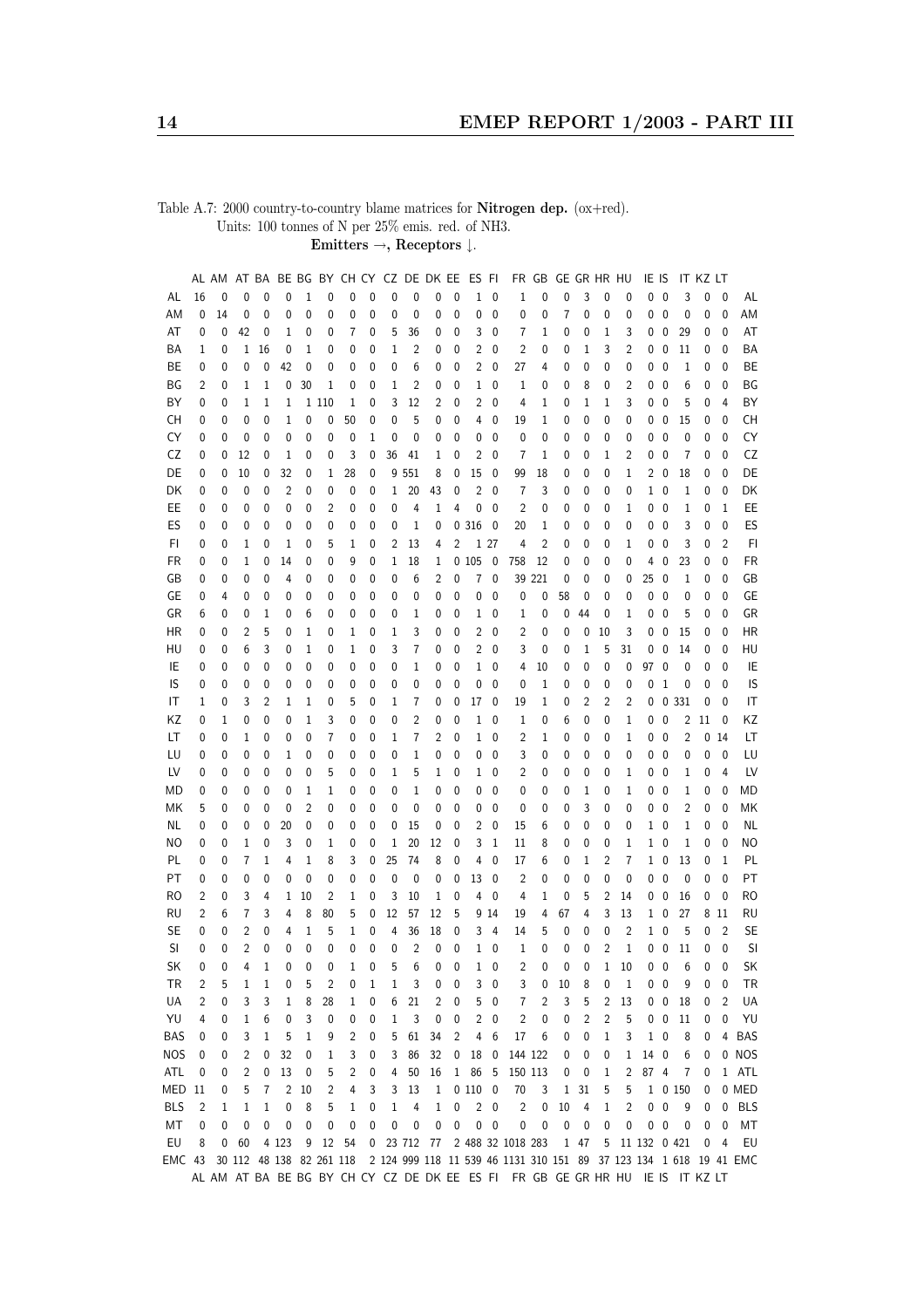Table A.7: 2000 country-to-country blame matrices for Nitrogen dep. (ox+red). Units: 100 tonnes of N per 25% emis. red. of NH3.

Emitters  $\rightarrow$ , Receptors  $\downarrow$ .

|            |    | AL AM |    | AT BA |                          |    |              |                |              |             |                | BE BG BY CH CY CZ DE DK EE |                | ES FI          |              |                                                                               | FR GB  |                  | GE GR HR HU    |                |              | IE IS        |                          |         | IT KZ LT     |                 |            |
|------------|----|-------|----|-------|--------------------------|----|--------------|----------------|--------------|-------------|----------------|----------------------------|----------------|----------------|--------------|-------------------------------------------------------------------------------|--------|------------------|----------------|----------------|--------------|--------------|--------------------------|---------|--------------|-----------------|------------|
| AL         | 16 | 0     | 0  | 0     | 0                        | 1  | 0            | 0              | 0            | 0           | 0              | 0                          | 0              | $\mathbf 1$    | 0            | 1                                                                             | 0      | 0                | 3              | 0              | 0            | 0            | $\mathbf 0$              | 3       | 0            | 0               | AL         |
| ΑM         | 0  | 14    | 0  | 0     | 0                        | 0  | 0            | 0              | 0            | 0           | 0              | 0                          | 0              | 0              | 0            | 0                                                                             | 0      | 7                | 0              | 0              | 0            | 0            | 0                        | 0       | 0            | 0               | AM         |
| AT         | 0  | 0     | 42 | 0     | 1                        | 0  | 0            | 7              | 0            | 5           | 36             | 0                          | 0              | 3              | 0            | 7                                                                             | 1      | 0                | 0              | 1              | 3            | 0            | 0                        | 29      | 0            | 0               | AT         |
| ΒA         | 1  | 0     | 1  | 16    | 0                        | 1  | 0            | 0              | 0            | 1           | 2              | 0                          | 0              | $\overline{c}$ | 0            | 2                                                                             | 0      | 0                | 1              | 3              | 2            | 0            | 0                        | 11      | 0            | 0               | BA         |
| BE         | 0  | 0     | 0  | 0     | 42                       | 0  | 0            | 0              | 0            | 0           | 6              | 0                          | 0              | $\overline{2}$ | 0            | 27                                                                            | 4      | 0                | 0              | 0              | 0            | 0            | $\mathbf 0$              | 1       | 0            | 0               | BE         |
| ΒG         | 2  | 0     | 1  | 1     | 0                        | 30 | 1            | 0              | 0            | 1           | 2              | 0                          | 0              | $1\,$          | 0            | 1                                                                             | 0      | 0                | 8              | 0              | 2            | 0            | 0                        | 6       | 0            | 0               | BG         |
| ΒY         | 0  | 0     | 1  | 1     | 1                        |    | 1 1 1 0      | 1              | 0            | 3           | 12             | 2                          | 0              | $\overline{c}$ | 0            | 4                                                                             | 1      | 0                | 1              | $1\,$          | 3            | 0            | 0                        | 5       | 0            | $\overline{4}$  | BY         |
| СH         | 0  | 0     | 0  | 0     | 1                        | 0  | 0            | 50             | 0            | 0           | 5              | 0                          | 0              | 4              | 0            | 19                                                                            | 1      | 0                | 0              | 0              | 0            | 0            | 0                        | 15      | 0            | 0               | <b>CH</b>  |
|            |    |       |    | 0     | 0                        |    | 0            |                |              | 0           | 0              |                            |                |                |              | 0                                                                             | 0      |                  |                |                |              |              | 0                        |         |              | 0               | CY         |
| CY         | 0  | 0     | 0  |       |                          | 0  |              | 0              | 1            |             |                | 0                          | 0              | 0              | 0            |                                                                               |        | 0                | 0              | 0              | 0            | 0            |                          | 0       | 0            |                 |            |
| CZ         | 0  | 0     | 12 | 0     | 1                        | 0  | 0            | 3              | 0            | 36          | 41             | 1                          | 0              | 2              | 0            | 7                                                                             | 1      | 0                | 0              | 1              | 2            | 0            | 0                        | 7       | 0            | 0               | CZ         |
| DE         | 0  | 0     | 10 | 0     | 32                       | 0  | 1            | 28             | 0            |             | 9 551          | 8                          | 0              | 15             | 0            | 99                                                                            | 18     | 0                | 0              | 0              | 1            |              | 20                       | 18      | 0            | 0               | DE         |
| DK         | 0  | 0     | 0  | 0     | 2                        | 0  | 0            | 0              | 0            | 1           | 20             | 43                         | 0              | 2              | $\mathbf{0}$ | 7                                                                             | 3      | 0                | 0              | 0              | 0            |              | $1\quad0$                | 1       | 0            | 0               | DK         |
| EE         | 0  | 0     | 0  | 0     | 0                        | 0  | 2            | 0              | 0            | 0           | 4              | 1                          | 4              | 0              | 0            | 2                                                                             | 0      | 0                | 0              | 0              | 1            | 0            | 0                        | 1       | 0            | 1               | EE         |
| ES         | 0  | 0     | 0  | 0     | 0                        | 0  | 0            | 0              | 0            | 0           | 1              | 0                          |                | 0 316          | 0            | 20                                                                            | 1      | 0                | 0              | 0              | 0            | 0            | $\mathbf 0$              | 3       | 0            | 0               | ES         |
| FI         | 0  | 0     | 1  | 0     | 1                        | 0  | 5            | 1              | 0            | 2           | 13             | 4                          | 2              |                | 1 27         | 4                                                                             | 2      | 0                | 0              | 0              | 1            | 0            | 0                        | 3       | 0            | $\overline{2}$  | FI         |
| FR         | 0  | 0     | 1  | 0     | 14                       | 0  | 0            | 9              | 0            | 1           | 18             | 1                          |                | 0105           | 0            | 758                                                                           | 12     | 0                | 0              | 0              | 0            | 4            | 0                        | 23      | 0            | $\mathbf{0}$    | <b>FR</b>  |
| GB         | 0  | 0     | 0  | 0     | 4                        | 0  | 0            | 0              | 0            | 0           | 6              | 2                          | 0              | 7              | 0            |                                                                               | 39 221 | 0                | 0              | 0              | 0            | 25           | 0                        | 1       | 0            | $\mathbf{0}$    | GB         |
| GE         | 0  | 4     | 0  | 0     | 0                        | 0  | 0            | 0              | 0            | 0           | 0              | 0                          | 0              | 0              | 0            | 0                                                                             | 0      | 58               | 0              | 0              | 0            | 0            | 0                        | 0       | 0            | 0               | GE         |
| GR         | 6  | 0     | 0  | 1     | 0                        | 6  | 0            | 0              | 0            | 0           | 1              | 0                          | 0              | 1              | 0            | 1                                                                             | 0      | 0                | 44             | 0              | 1            | 0            | 0                        | 5       | 0            | 0               | GR         |
| HR         | 0  | 0     | 2  | 5     | 0                        | 1  | 0            | 1              | 0            | 1           | 3              | 0                          | 0              | 2              | 0            | 2                                                                             | 0      | 0                | 0              | 10             | 3            | 0            | 0                        | 15      | 0            | 0               | <b>HR</b>  |
| HU         | 0  | 0     | 6  | 3     | 0                        | 1  | 0            | 1              | 0            | 3           | 7              | 0                          | 0              | $\overline{c}$ | 0            | 3                                                                             | 0      | 0                | 1              | 5              | 31           | 0            | 0                        | 14      | 0            | 0               | HU         |
| IE         | 0  | 0     | 0  | 0     | 0                        | 0  | 0            | 0              | 0            | 0           | 1              | 0                          | 0              | 1              | 0            | 4                                                                             | 10     | 0                | 0              | 0              | 0            | 97           | 0                        | 0       | 0            | 0               | IE         |
| IS         | 0  | 0     | 0  | 0     | 0                        | 0  | 0            | 0              | 0            | 0           | 0              | 0                          | 0              | 0              | $\mathbf{0}$ | 0                                                                             | 1      | 0                | 0              | 0              | 0            | 0            | $\mathbf 1$              | 0       | 0            | 0               | IS         |
| IT         | 1  | 0     | 3  | 2     | 1                        | 1  | 0            | 5              | 0            | 1           | 7              | 0                          | 0              | 17             | 0            | 19                                                                            | 1      | 0                | 2              | 2              | 2            | 0            |                          | 0 3 3 1 | 0            | $\mathbf{0}$    | IT         |
| ΚZ         | 0  | 1     | 0  | 0     | 0                        | 1  | 3            | 0              | 0            | 0           | 2              | 0                          | 0              | 1              | 0            | 1                                                                             | 0      | 6                | 0              | 0              | 1            | 0            | $\pmb{0}$                | 2       | 11           | $\mathbf 0$     | ΚZ         |
| LT         | 0  | 0     | 1  | 0     | 0                        | 0  | 7            | 0              | 0            | 1           | 7              | 2                          | 0              | 1              | 0            | 2                                                                             | 1      | 0                | 0              | 0              | 1            | 0            | 0                        | 2       |              | 0 <sub>14</sub> | LT         |
| LU         | 0  | 0     | 0  | 0     | 1                        | 0  | 0            | 0              | 0            | 0           | 1              | 0                          | 0              | 0              | 0            | 3                                                                             | 0      | 0                | 0              | 0              | 0            | 0            | $\mathbf 0$              | 0       | 0            | 0               | LU         |
| LV         | 0  |       | 0  | 0     | 0                        | 0  | 5            | 0              | 0            | 1           | 5              | 1                          | 0              | 1              | 0            | 2                                                                             |        | 0                | 0              | 0              | 1            | 0            | 0                        | 1       | 0            | 4               | LV         |
|            |    | 0     |    |       |                          |    |              |                |              |             |                |                            |                |                |              |                                                                               | 0      |                  |                |                |              |              |                          |         |              |                 | MD         |
| МD         | 0  | 0     | 0  | 0     | 0                        | 1  | 1            | 0              | 0            | 0           | 1              | 0                          | 0              | 0              | 0            | 0                                                                             | 0      | 0                | 1              | 0              | 1            | 0            | 0                        | 1       | 0            | 0               |            |
| МK         | 5  | 0     | 0  | 0     | 0                        | 2  | 0            | 0              | 0            | 0           | 0              | 0                          | 0              | 0              | $\mathbf{0}$ | 0                                                                             | 0      | 0                | 3              | 0              | 0            | 0            | 0                        | 2       | 0            | 0               | ΜK         |
| ΝL         | 0  | 0     | 0  | 0     | 20                       | 0  | 0            | 0              | 0            | 0           | 15             | 0                          | 0              | 2              | 0            | 15                                                                            | 6      | 0                | 0              | 0              | 0            |              | 10                       | 1       | 0            | 0               | <b>NL</b>  |
| ΝO         | 0  | 0     | 1  | 0     | 3                        | 0  | 1            | 0              | 0            | 1           | 20             | 12                         | 0              | 3              | 1            | 11                                                                            | 8      | 0                | 0              | 0              | 1            | 1            | 0                        | 1       | 0            | 0               | <b>NO</b>  |
| PL         | 0  | 0     | 7  | 1     | 4                        | 1  | 8            | 3              | 0            | 25          | 74             | 8                          | 0              | 4              | $\mathbf{0}$ | 17                                                                            | 6      | 0                | 1              | 2              | 7            | 1            | 0                        | 13      | 0            | 1               | PL         |
| PT         | 0  | 0     | 0  | 0     | 0                        | 0  | 0            | 0              | 0            | $\mathbf 0$ | 0              | 0                          | 0              | 13             | 0            | 2                                                                             | 0      | 0                | 0              | 0              | 0            | 0            | $\mathbf 0$              | 0       | 0            | $\mathbf 0$     | PT         |
| RO         | 2  | 0     | 3  | 4     | 1                        | 10 | 2            | 1              | 0            | 3           | 10             | 1                          | 0              | 4              | 0            | 4                                                                             | $1\,$  | 0                | 5              | $\overline{2}$ | 14           | 0            | $\mathbf 0$              | 16      | 0            | 0               | <b>RO</b>  |
| RU         | 2  | 6     | 7  | 3     | 4                        | 8  | 80           | 5              | 0            | 12          | 57             | 12                         | 5              |                | 9 14         | 19                                                                            | 4      | 67               | 4              | 3              | 13           | $\mathbf{1}$ | 0                        | 27      |              | 8 11            | <b>RU</b>  |
| <b>SE</b>  | 0  | 0     | 2  | 0     | 4                        | 1  | 5            | 1              | 0            | 4           | 36             | 18                         | 0              | 3              | 4            | 14                                                                            | 5      | 0                | 0              | 0              | 2            | $\mathbf{1}$ | $\pmb{0}$                | 5       | 0            | $\overline{2}$  | SE         |
| SI         | 0  | 0     | 2  | 0     | 0                        | 0  | $\mathbf{0}$ | $\mathbf 0$    | 0            | 0           | $\overline{c}$ | 0                          | 0              | 1              | $\mathbf 0$  | $\mathbf 1$                                                                   | 0      | 0                | 0              | 2              | 1            |              | $0\quad 0$               | 11      | 0            | $\mathbf 0$     | SI         |
| SK         | 0  | 0     | 4  | 1     | 0                        | 0  | 0            | $\mathbf{1}$   | 0            | 5           | 6              | $\overline{0}$             | 0              |                | $1\quad 0$   | $\overline{2}$                                                                |        | $\mathbf 0$<br>0 | $\mathbf 0$    | 1              | 10           |              | $0\quad 0$               | 6       | $\mathbf{0}$ | 0               | SK         |
| TR         | 2  | 5     | 1  | 1     | 0                        | 5  | 2            | 0              | 1            | 1           | 3              | 0                          | 0              | 3              | 0            | 3                                                                             | 0      | 10               | 8              | 0              | 1            |              | $0\quad 0$               | 9       | 0            | 0               | <b>TR</b>  |
| UA         | 2  | 0     | 3  | 3     | 1                        | 8  | 28           | 1              | 0            | 6           | 21             | 2                          | 0              | 5              | 0            | 7                                                                             | 2      | 3                | 5              | 2              | 13           |              | $0\quad 0$               | 18      | 0            | 2               | UA         |
| YU         | 4  | 0     | 1  | 6     | 0                        | 3  | 0            | 0              | 0            | 1           | 3              | 0                          | 0              | $\overline{c}$ | 0            | 2                                                                             | 0      | 0                | $\overline{c}$ | 2              | 5            |              | $0\quad 0$               | 11      | 0            | 0               | YU         |
| <b>BAS</b> | 0  | 0     | 3  | 1     | 5                        | 1  | 9            | $\overline{c}$ | 0            | 5           | 61             | 34                         | $\overline{c}$ | 4              | 6            | 17                                                                            | 6      | 0                | $\pmb{0}$      | 1              | 3            |              | $1\quad0$                | 8       | 0            |                 | 4 BAS      |
| <b>NOS</b> | 0  | 0     | 2  | 0     | 32                       | 0  | 1            | 3              | 0            | 3           | 86             | 32                         | $\bf 0$        | 18             | 0            | 144 122                                                                       |        | 0                | 0              | 0              | $\mathbf{1}$ | 14           | $\overline{\phantom{0}}$ | 6       | 0            |                 | 0 NOS      |
| ATL        | 0  | 0     | 2  | 0     | 13                       | 0  | 5            | 2              | 0            | 4           | 50             | 16                         | $\mathbf{1}$   | 86             | 5            | 150 113                                                                       |        | 0                | 0              | 1              | 2            | 87 4         |                          | 7       | 0            |                 | 1 ATL      |
| MED 11     |    | 0     | 5  | 7     | 2                        | 10 | 2            | 4              | 3            | 3           | 13             | 1                          |                | $0\,$ 110 $\,$ | 0            | 70                                                                            | 3      | $\mathbf{1}$     | 31             | 5              | 5            |              |                          | 1 0 150 | 0            |                 | 0 MED      |
| <b>BLS</b> | 2  | 1     | 1  | 1     | 0                        | 8  | 5            | 1              | 0            | 1           | 4              | 1                          | 0              | $\overline{c}$ | $\mathbf 0$  | $\overline{c}$                                                                | 0      | 10               | 4              | 1              | 2            | 0            | $\pmb{0}$                | 9       | 0            | $\mathbf 0$     | <b>BLS</b> |
| MT         | 0  | 0     | 0  | 0     | 0                        | 0  | 0            | 0              | 0            | 0           | 0              | 0                          | 0              | 0              | $\mathbf 0$  | 0                                                                             | 0      | 0                | 0              | 0              | 0            |              | $0\quad 0$               | 0       | 0            | 0               | МT         |
| EU         | 8  | 0     | 60 |       | 4 1 2 3                  | 9  | 12           | 54             | $\mathbf{0}$ |             | 23 712 77      |                            |                |                |              | 2 488 32 1018 283                                                             |        |                  | 1 47           | 5              |              | 11 132 0 421 |                          |         | 0            | 4               | EU         |
| EMC 43     |    |       |    |       | 30 112 48 138 82 261 118 |    |              |                |              |             |                |                            |                |                |              | 2 124 999 118 11 539 46 1131 310 151 89 37 123 134 1 618 19 41 EMC            |        |                  |                |                |              |              |                          |         |              |                 |            |
|            |    |       |    |       |                          |    |              |                |              |             |                |                            |                |                |              | AL AM AT BA BE BG BY CH CY CZ DE DK EE ES FI FR GB GE GR HR HU IE IS IT KZ LT |        |                  |                |                |              |              |                          |         |              |                 |            |
|            |    |       |    |       |                          |    |              |                |              |             |                |                            |                |                |              |                                                                               |        |                  |                |                |              |              |                          |         |              |                 |            |